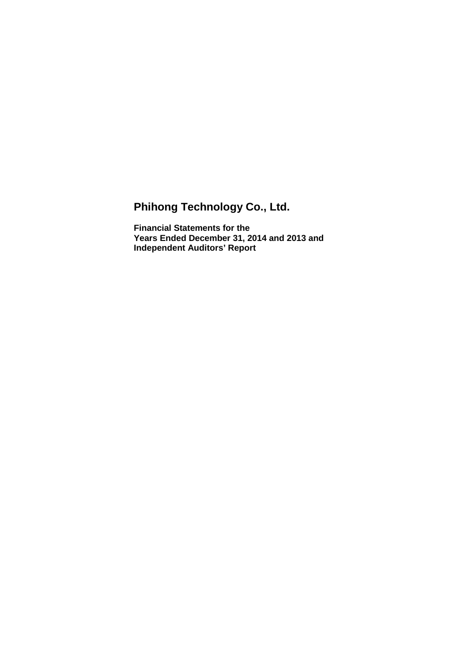# **Phihong Technology Co., Ltd.**

**Financial Statements for the Years Ended December 31, 2014 and 2013 and Independent Auditors' Report**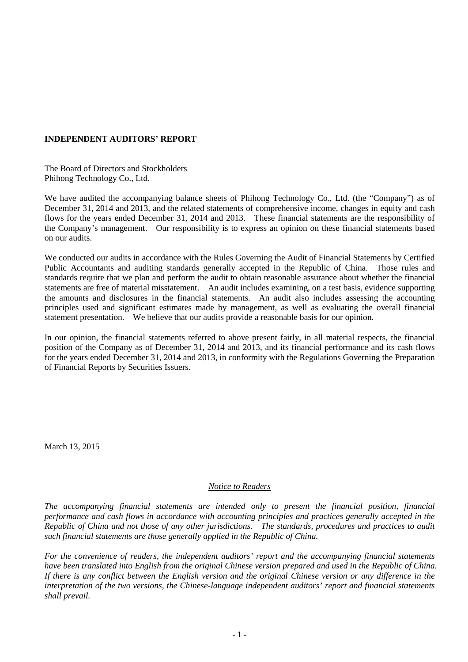# **INDEPENDENT AUDITORS' REPORT**

The Board of Directors and Stockholders Phihong Technology Co., Ltd.

We have audited the accompanying balance sheets of Phihong Technology Co., Ltd. (the "Company") as of December 31, 2014 and 2013, and the related statements of comprehensive income, changes in equity and cash flows for the years ended December 31, 2014 and 2013. These financial statements are the responsibility of the Company's management. Our responsibility is to express an opinion on these financial statements based on our audits.

We conducted our audits in accordance with the Rules Governing the Audit of Financial Statements by Certified Public Accountants and auditing standards generally accepted in the Republic of China. Those rules and standards require that we plan and perform the audit to obtain reasonable assurance about whether the financial statements are free of material misstatement. An audit includes examining, on a test basis, evidence supporting the amounts and disclosures in the financial statements. An audit also includes assessing the accounting principles used and significant estimates made by management, as well as evaluating the overall financial statement presentation. We believe that our audits provide a reasonable basis for our opinion.

In our opinion, the financial statements referred to above present fairly, in all material respects, the financial position of the Company as of December 31, 2014 and 2013, and its financial performance and its cash flows for the years ended December 31, 2014 and 2013, in conformity with the Regulations Governing the Preparation of Financial Reports by Securities Issuers.

March 13, 2015

# *Notice to Readers*

*The accompanying financial statements are intended only to present the financial position, financial performance and cash flows in accordance with accounting principles and practices generally accepted in the Republic of China and not those of any other jurisdictions. The standards, procedures and practices to audit such financial statements are those generally applied in the Republic of China.* 

*For the convenience of readers, the independent auditors' report and the accompanying financial statements have been translated into English from the original Chinese version prepared and used in the Republic of China. If there is any conflict between the English version and the original Chinese version or any difference in the interpretation of the two versions, the Chinese-language independent auditors' report and financial statements shall prevail.*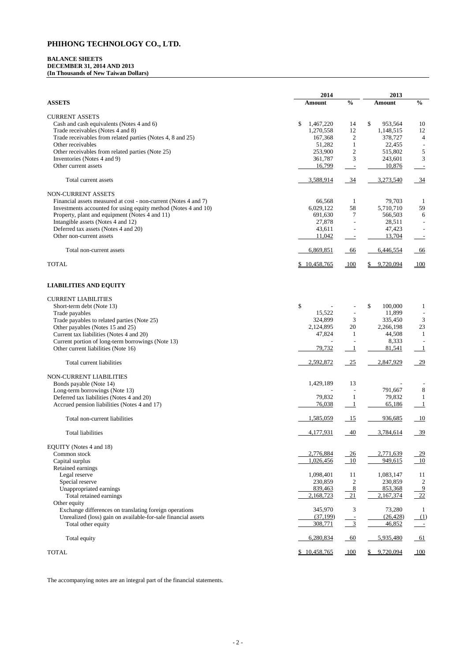# **BALANCE SHEETS DECEMBER 31, 2014 AND 2013 (In Thousands of New Taiwan Dollars)**

|                                                                 | 2014                       | 2013           |                          |                            |
|-----------------------------------------------------------------|----------------------------|----------------|--------------------------|----------------------------|
| <b>ASSETS</b>                                                   | <b>Amount</b>              | $\frac{0}{0}$  | <b>Amount</b>            | $\frac{0}{0}$              |
| <b>CURRENT ASSETS</b>                                           |                            |                |                          |                            |
| Cash and cash equivalents (Notes 4 and 6)                       | \$<br>1,467,220            | 14             | \$<br>953,564            | 10                         |
| Trade receivables (Notes 4 and 8)                               | 1,270,558                  | 12             | 1,148,515                | 12                         |
| Trade receivables from related parties (Notes 4, 8 and 25)      | 167,368                    | $\overline{c}$ | 378,727                  | $\overline{4}$             |
| Other receivables                                               | 51,282                     | 1              | 22,455                   |                            |
| Other receivables from related parties (Note 25)                | 253,900                    |                | 515,802                  |                            |
|                                                                 |                            | $\overline{c}$ |                          | 5                          |
| Inventories (Notes 4 and 9)                                     | 361,787                    | 3              | 243,601                  | 3                          |
| Other current assets                                            | 16,799                     |                | 10,876                   |                            |
| Total current assets                                            | 3,588,914                  | $\frac{34}{1}$ | 3,273,540                | $\frac{34}{ }$             |
| NON-CURRENT ASSETS                                              |                            |                |                          |                            |
| Financial assets measured at cost - non-current (Notes 4 and 7) | 66,568                     | 1              | 79,703                   | -1                         |
| Investments accounted for using equity method (Notes 4 and 10)  | 6,029,122                  | 58             | 5,710,710                | 59                         |
| Property, plant and equipment (Notes 4 and 11)                  | 691,630                    | 7              | 566,503                  | $\boldsymbol{6}$           |
| Intangible assets (Notes 4 and 12)                              | 27,878                     |                | 28,511                   |                            |
| Deferred tax assets (Notes 4 and 20)                            | 43,611                     |                | 47,423                   |                            |
| Other non-current assets                                        | 11,042                     |                | 13,704                   |                            |
| Total non-current assets                                        | 6,869,851                  | 66             | 6,446,554                | 66                         |
|                                                                 |                            |                |                          |                            |
| <b>TOTAL</b>                                                    | 10,458,765<br>$\mathbb{S}$ | 100            | \$<br>9,720,094          | 100                        |
| <b>LIABILITIES AND EQUITY</b>                                   |                            |                |                          |                            |
| <b>CURRENT LIABILITIES</b>                                      |                            |                |                          |                            |
| Short-term debt (Note 13)                                       | \$                         |                | $\mathcal{S}$<br>100,000 | $\mathbf{1}$               |
| Trade payables                                                  | 15,522                     |                | 11,899                   |                            |
| Trade payables to related parties (Note 25)                     | 324,899                    | 3              | 335,450                  | 3                          |
| Other payables (Notes 15 and 25)                                | 2,124,895                  | 20             | 2,266,198                | 23                         |
| Current tax liabilities (Notes 4 and 20)                        | 47,824                     | $\mathbf{1}$   | 44,508                   | $\mathbf{1}$               |
| Current portion of long-term borrowings (Note 13)               |                            |                | 8,333                    |                            |
|                                                                 | 79,732                     |                | 81,541                   |                            |
| Other current liabilities (Note 16)                             |                            |                |                          |                            |
| Total current liabilities                                       | 2,592,872                  | $-25$          | 2,847,929                | $-29$                      |
| NON-CURRENT LIABILITIES                                         |                            |                |                          |                            |
| Bonds payable (Note 14)                                         | 1,429,189                  | 13             |                          |                            |
| Long-term borrowings (Note 13)                                  |                            |                | 791,667                  | $8\,$                      |
| Deferred tax liabilities (Notes 4 and 20)                       | 79,832                     |                | 79,832                   |                            |
| Accrued pension liabilities (Notes 4 and 17)                    | 76,038                     |                | 65,186                   |                            |
| Total non-current liabilities                                   | 1,585,059                  | $\frac{15}{2}$ | 936,685                  | $\overline{\phantom{0}10}$ |
| <b>Total liabilities</b>                                        | 4,177,931                  | 40             | 3,784,614                | $\frac{39}{2}$             |
| EQUITY (Notes 4 and 18)                                         |                            |                |                          |                            |
| Common stock                                                    | 2,776,884                  | $-26$          | 2,771,639                | <u>29</u>                  |
| Capital surplus                                                 | 1,026,456                  | $-10$          | 949,615                  | 10                         |
| Retained earnings                                               |                            |                |                          |                            |
|                                                                 | 1,098,401                  | 11             | 1,083,147                | 11                         |
| Legal reserve                                                   |                            |                |                          |                            |
| Special reserve                                                 | 230,859                    | $\mathbf{2}$   | 230,859                  | $\overline{c}$             |
| Unappropriated earnings                                         | 839,463                    | 8              | 853,368                  | $\overline{9}$             |
| Total retained earnings                                         | 2,168,723                  | 21             | 2,167,374                | 22                         |

| Other equity                                                  |              |            |           |            |
|---------------------------------------------------------------|--------------|------------|-----------|------------|
| Exchange differences on translating foreign operations        | 345,970      |            | 73,280    |            |
| Unrealized (loss) gain on available-for-sale financial assets | (37, 199)    |            | (26, 428) | (1)        |
| Total other equity                                            | 308,771      |            | 46,852    | $\sim 100$ |
| Total equity                                                  | 6,280,834    | -60        | 5.935.480 | -61        |
| TOTAL                                                         | \$10,458,765 | <u>100</u> | 9,720,094 | 100        |

The accompanying notes are an integral part of the financial statements.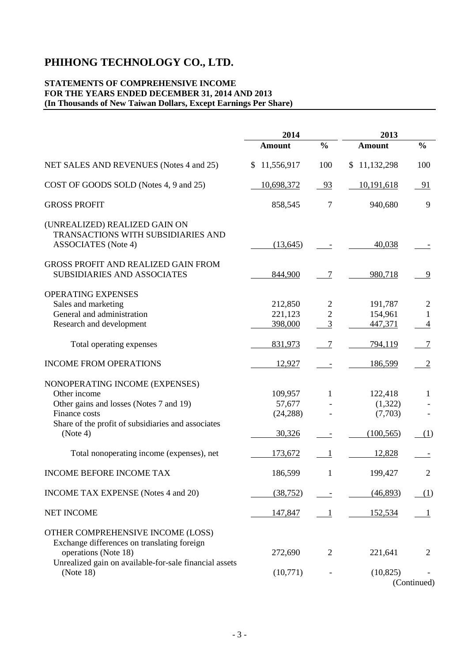# **STATEMENTS OF COMPREHENSIVE INCOME FOR THE YEARS ENDED DECEMBER 31, 2014 AND 2013 (In Thousands of New Taiwan Dollars, Except Earnings Per Share)**

|                                                                                                                                                                                 | 2014                                     |                                                    | 2013                                        |                                               |
|---------------------------------------------------------------------------------------------------------------------------------------------------------------------------------|------------------------------------------|----------------------------------------------------|---------------------------------------------|-----------------------------------------------|
|                                                                                                                                                                                 | <b>Amount</b>                            | $\frac{0}{0}$                                      | <b>Amount</b>                               | $\frac{0}{0}$                                 |
| NET SALES AND REVENUES (Notes 4 and 25)                                                                                                                                         | \$11,556,917                             | 100                                                | \$11,132,298                                | 100                                           |
| COST OF GOODS SOLD (Notes 4, 9 and 25)                                                                                                                                          | 10,698,372                               | 93                                                 | 10,191,618                                  | - 91                                          |
| <b>GROSS PROFIT</b>                                                                                                                                                             | 858,545                                  | 7                                                  | 940,680                                     | 9                                             |
| (UNREALIZED) REALIZED GAIN ON<br>TRANSACTIONS WITH SUBSIDIARIES AND<br><b>ASSOCIATES</b> (Note 4)                                                                               | (13,645)                                 |                                                    | 40,038                                      |                                               |
| GROSS PROFIT AND REALIZED GAIN FROM<br><b>SUBSIDIARIES AND ASSOCIATES</b>                                                                                                       | 844,900                                  | 7                                                  | 980,718                                     | 9                                             |
| OPERATING EXPENSES<br>Sales and marketing<br>General and administration<br>Research and development                                                                             | 212,850<br>221,123<br>398,000            | $\overline{c}$<br>$\overline{c}$<br>$\mathfrak{Z}$ | 191,787<br>154,961<br>447,371               | 2<br>$\mathbf{1}$<br>$\overline{\mathcal{A}}$ |
| Total operating expenses                                                                                                                                                        | 831,973                                  | $\overline{7}$                                     | 794,119                                     | 7                                             |
| <b>INCOME FROM OPERATIONS</b>                                                                                                                                                   | 12,927                                   | $\overline{\phantom{a}}$                           | 186,599                                     | $\overline{c}$                                |
| NONOPERATING INCOME (EXPENSES)<br>Other income<br>Other gains and losses (Notes 7 and 19)<br>Finance costs<br>Share of the profit of subsidiaries and associates<br>(Note 4)    | 109,957<br>57,677<br>(24, 288)<br>30,326 | 1                                                  | 122,418<br>(1,322)<br>(7,703)<br>(100, 565) | 1<br>(1)                                      |
| Total nonoperating income (expenses), net                                                                                                                                       | 173,672                                  | $\overline{1}$                                     | 12,828                                      |                                               |
| <b>INCOME BEFORE INCOME TAX</b>                                                                                                                                                 | 186,599                                  | $\mathbf{1}$                                       | 199,427                                     | $\overline{2}$                                |
| <b>INCOME TAX EXPENSE</b> (Notes 4 and 20)                                                                                                                                      | (38, 752)                                |                                                    | (46,893)                                    | (1)                                           |
| <b>NET INCOME</b>                                                                                                                                                               | 147,847                                  | $\mathbf{1}$                                       | 152,534                                     |                                               |
| OTHER COMPREHENSIVE INCOME (LOSS)<br>Exchange differences on translating foreign<br>operations (Note 18)<br>Unrealized gain on available-for-sale financial assets<br>(Note 18) | 272,690<br>(10,771)                      | 2                                                  | 221,641<br>(10, 825)                        | 2<br>(Continued)                              |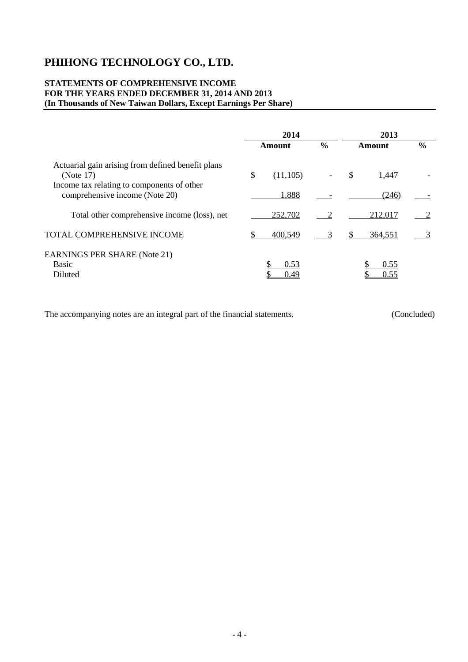# **STATEMENTS OF COMPREHENSIVE INCOME FOR THE YEARS ENDED DECEMBER 31, 2014 AND 2013 (In Thousands of New Taiwan Dollars, Except Earnings Per Share)**

|                                                                                                              | 2014           |               |               |               |               |
|--------------------------------------------------------------------------------------------------------------|----------------|---------------|---------------|---------------|---------------|
|                                                                                                              | Amount         | $\frac{0}{0}$ |               | <b>Amount</b> | $\frac{6}{6}$ |
| Actuarial gain arising from defined benefit plans<br>(Note 17)<br>Income tax relating to components of other | \$<br>(11,105) |               | <sup>\$</sup> | 1,447         |               |
| comprehensive income (Note 20)                                                                               | 1,888          |               |               | (246)         |               |
| Total other comprehensive income (loss), net                                                                 | 252,702        |               |               | 212,017       |               |
| TOTAL COMPREHENSIVE INCOME                                                                                   | 400,549        |               |               | 364,551       |               |
| <b>EARNINGS PER SHARE (Note 21)</b><br><b>Basic</b><br>Diluted                                               | 0.53<br>0.49   |               |               | 0.55<br>0.55  |               |

The accompanying notes are an integral part of the financial statements. (Concluded)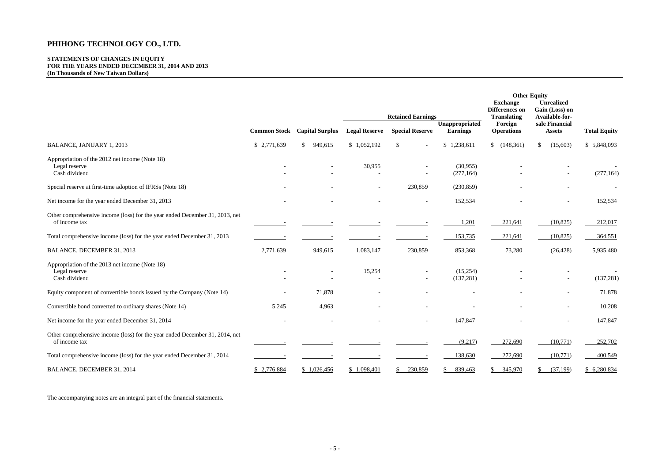# **STATEMENTS OF CHANGES IN EQUITY FOR THE YEARS ENDED DECEMBER 31, 2014 AND 2013 (In Thousands of New Taiwan Dollars)**

|                                                                                              |                     |                         |                      |                                           |                        |                                                                  | <b>Other Equity</b>                                   |                     |
|----------------------------------------------------------------------------------------------|---------------------|-------------------------|----------------------|-------------------------------------------|------------------------|------------------------------------------------------------------|-------------------------------------------------------|---------------------|
|                                                                                              |                     |                         |                      | <b>Retained Earnings</b>                  |                        | <b>Exchange</b><br><b>Differences</b> on<br><b>Translating</b>   | <b>Unrealized</b><br>Gain (Loss) on<br>Available-for- |                     |
|                                                                                              | <b>Common Stock</b> | <b>Capital Surplus</b>  | <b>Legal Reserve</b> | <b>Special Reserve</b><br><b>Earnings</b> |                        | Unappropriated<br>Foreign<br>sale Financial<br><b>Operations</b> |                                                       | <b>Total Equity</b> |
| <b>BALANCE, JANUARY 1, 2013</b>                                                              | \$2,771,639         | $\mathbb{S}$<br>949,615 | \$1,052,192          | $\mathcal{S}$                             | \$1,238,611            | \$(148,361)                                                      | (15,603)<br>$\mathcal{S}$                             | \$5,848,093         |
| Appropriation of the 2012 net income (Note 18)<br>Legal reserve<br>Cash dividend             |                     |                         | 30,955               |                                           | (30,955)<br>(277, 164) |                                                                  | $\overline{\phantom{a}}$                              | (277, 164)          |
| Special reserve at first-time adoption of IFRSs (Note 18)                                    |                     |                         |                      | 230,859                                   | (230, 859)             |                                                                  |                                                       |                     |
| Net income for the year ended December 31, 2013                                              |                     |                         |                      | $\overline{\phantom{a}}$                  | 152,534                |                                                                  | $\overline{\phantom{a}}$                              | 152,534             |
| Other comprehensive income (loss) for the year ended December 31, 2013, net<br>of income tax |                     |                         |                      |                                           | 1,201                  | 221,641                                                          | (10, 825)                                             | 212,017             |
| Total comprehensive income (loss) for the year ended December 31, 2013                       |                     |                         |                      |                                           | 153,735                | 221,641                                                          | (10, 825)                                             | 364,551             |
| BALANCE, DECEMBER 31, 2013                                                                   | 2,771,639           | 949,615                 | 1,083,147            | 230,859                                   | 853,368                | 73,280                                                           | (26, 428)                                             | 5,935,480           |
| Appropriation of the 2013 net income (Note 18)<br>Legal reserve<br>Cash dividend             |                     |                         | 15,254               | $\overline{\phantom{a}}$                  | (15,254)<br>(137, 281) |                                                                  | $\overline{\phantom{a}}$                              | (137, 281)          |
| Equity component of convertible bonds issued by the Company (Note 14)                        |                     | 71,878                  |                      |                                           |                        |                                                                  | $\blacksquare$                                        | 71,878              |
| Convertible bond converted to ordinary shares (Note 14)                                      | 5,245               | 4,963                   |                      |                                           |                        |                                                                  |                                                       | 10,208              |
| Net income for the year ended December 31, 2014                                              |                     |                         |                      | $\overline{\phantom{a}}$                  | 147,847                |                                                                  | $\blacksquare$                                        | 147,847             |
| Other comprehensive income (loss) for the year ended December 31, 2014, net<br>of income tax |                     |                         |                      |                                           | (9,217)                | 272,690                                                          | (10,771)                                              | 252,702             |
| Total comprehensive income (loss) for the year ended December 31, 2014                       |                     |                         |                      |                                           | 138,630                | 272,690                                                          | (10,771)                                              | 400,549             |
| BALANCE, DECEMBER 31, 2014                                                                   | \$2,776,884         | \$1,026,456             | \$1,098,401          | 230,859                                   | 839,463                | \$345,970                                                        | (37,199)<br>S.                                        | \$6,280,834         |

The accompanying notes are an integral part of the financial statements.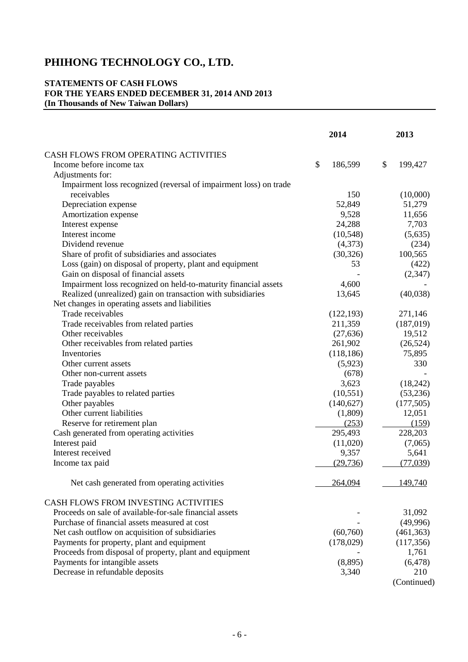# **STATEMENTS OF CASH FLOWS FOR THE YEARS ENDED DECEMBER 31, 2014 AND 2013 (In Thousands of New Taiwan Dollars)**

|                                                                   | 2014                    | 2013                 |
|-------------------------------------------------------------------|-------------------------|----------------------|
| CASH FLOWS FROM OPERATING ACTIVITIES                              |                         |                      |
| Income before income tax                                          | \$<br>186,599           | \$<br>199,427        |
| Adjustments for:                                                  |                         |                      |
| Impairment loss recognized (reversal of impairment loss) on trade |                         |                      |
| receivables                                                       | 150                     | (10,000)             |
| Depreciation expense                                              | 52,849                  | 51,279               |
| Amortization expense                                              | 9,528                   | 11,656               |
| Interest expense                                                  | 24,288                  | 7,703                |
| Interest income                                                   | (10, 548)               | (5,635)              |
| Dividend revenue                                                  | (4,373)                 | (234)                |
| Share of profit of subsidiaries and associates                    | (30, 326)               | 100,565              |
| Loss (gain) on disposal of property, plant and equipment          | 53                      | (422)                |
| Gain on disposal of financial assets                              |                         | (2,347)              |
| Impairment loss recognized on held-to-maturity financial assets   | 4,600                   |                      |
| Realized (unrealized) gain on transaction with subsidiaries       | 13,645                  | (40,038)             |
| Net changes in operating assets and liabilities                   |                         |                      |
| Trade receivables                                                 | (122, 193)              | 271,146              |
| Trade receivables from related parties                            | 211,359                 | (187,019)            |
| Other receivables                                                 | (27, 636)               | 19,512               |
| Other receivables from related parties                            | 261,902                 | (26, 524)            |
| Inventories                                                       | (118, 186)              | 75,895               |
| Other current assets                                              | (5,923)                 | 330                  |
|                                                                   | (678)                   |                      |
| Other non-current assets                                          | 3,623                   |                      |
| Trade payables                                                    |                         | (18,242)<br>(53,236) |
| Trade payables to related parties<br>Other payables               | (10, 551)<br>(140, 627) | (177, 505)           |
| Other current liabilities                                         | (1,809)                 | 12,051               |
|                                                                   |                         |                      |
| Reserve for retirement plan                                       | (253)<br>295,493        | (159)                |
| Cash generated from operating activities                          |                         | 228,203              |
| Interest paid<br>Interest received                                | (11,020)<br>9,357       | (7,065)              |
|                                                                   |                         | 5,641<br>(77,039)    |
| Income tax paid                                                   | (29, 736)               |                      |
| Net cash generated from operating activities                      | 264,094                 | 149,740              |
| CASH FLOWS FROM INVESTING ACTIVITIES                              |                         |                      |
| Proceeds on sale of available-for-sale financial assets           |                         | 31,092               |
| Purchase of financial assets measured at cost                     |                         | (49,996)             |
| Net cash outflow on acquisition of subsidiaries                   | (60, 760)               | (461, 363)           |
| Payments for property, plant and equipment                        | (178,029)               | (117, 356)           |
| Proceeds from disposal of property, plant and equipment           |                         | 1,761                |
| Payments for intangible assets                                    | (8,895)                 | (6, 478)             |
| Decrease in refundable deposits                                   | 3,340                   | 210                  |
|                                                                   |                         | (Continued)          |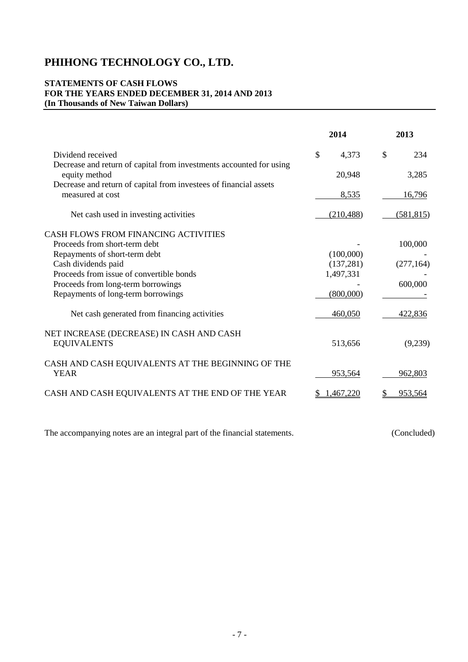# **STATEMENTS OF CASH FLOWS FOR THE YEARS ENDED DECEMBER 31, 2014 AND 2013 (In Thousands of New Taiwan Dollars)**

| \$<br>\$<br>234<br>Dividend received<br>4,373<br>Decrease and return of capital from investments accounted for using<br>equity method<br>20,948<br>3,285<br>Decrease and return of capital from investees of financial assets<br>measured at cost<br>8,535<br>16,796<br>Net cash used in investing activities<br>(210, 488)<br>(581, 815)<br>Proceeds from short-term debt<br>100,000<br>Repayments of short-term debt<br>(100,000)<br>Cash dividends paid<br>(137,281)<br>(277, 164)<br>Proceeds from issue of convertible bonds<br>1,497,331<br>Proceeds from long-term borrowings<br>600,000<br>Repayments of long-term borrowings<br>(800,000)<br>Net cash generated from financing activities<br>460,050<br>422,836<br>NET INCREASE (DECREASE) IN CASH AND CASH<br><b>EQUIVALENTS</b><br>513,656<br>(9,239)<br>CASH AND CASH EQUIVALENTS AT THE BEGINNING OF THE<br><b>YEAR</b><br>953,564<br>962,803<br>CASH AND CASH EQUIVALENTS AT THE END OF THE YEAR<br>953.564<br>1.467.220 |                                             | 2014 | 2013 |
|----------------------------------------------------------------------------------------------------------------------------------------------------------------------------------------------------------------------------------------------------------------------------------------------------------------------------------------------------------------------------------------------------------------------------------------------------------------------------------------------------------------------------------------------------------------------------------------------------------------------------------------------------------------------------------------------------------------------------------------------------------------------------------------------------------------------------------------------------------------------------------------------------------------------------------------------------------------------------------------|---------------------------------------------|------|------|
|                                                                                                                                                                                                                                                                                                                                                                                                                                                                                                                                                                                                                                                                                                                                                                                                                                                                                                                                                                                        |                                             |      |      |
|                                                                                                                                                                                                                                                                                                                                                                                                                                                                                                                                                                                                                                                                                                                                                                                                                                                                                                                                                                                        |                                             |      |      |
|                                                                                                                                                                                                                                                                                                                                                                                                                                                                                                                                                                                                                                                                                                                                                                                                                                                                                                                                                                                        |                                             |      |      |
|                                                                                                                                                                                                                                                                                                                                                                                                                                                                                                                                                                                                                                                                                                                                                                                                                                                                                                                                                                                        |                                             |      |      |
|                                                                                                                                                                                                                                                                                                                                                                                                                                                                                                                                                                                                                                                                                                                                                                                                                                                                                                                                                                                        | <b>CASH FLOWS FROM FINANCING ACTIVITIES</b> |      |      |
|                                                                                                                                                                                                                                                                                                                                                                                                                                                                                                                                                                                                                                                                                                                                                                                                                                                                                                                                                                                        |                                             |      |      |
|                                                                                                                                                                                                                                                                                                                                                                                                                                                                                                                                                                                                                                                                                                                                                                                                                                                                                                                                                                                        |                                             |      |      |
|                                                                                                                                                                                                                                                                                                                                                                                                                                                                                                                                                                                                                                                                                                                                                                                                                                                                                                                                                                                        |                                             |      |      |
|                                                                                                                                                                                                                                                                                                                                                                                                                                                                                                                                                                                                                                                                                                                                                                                                                                                                                                                                                                                        |                                             |      |      |
|                                                                                                                                                                                                                                                                                                                                                                                                                                                                                                                                                                                                                                                                                                                                                                                                                                                                                                                                                                                        |                                             |      |      |
|                                                                                                                                                                                                                                                                                                                                                                                                                                                                                                                                                                                                                                                                                                                                                                                                                                                                                                                                                                                        |                                             |      |      |
|                                                                                                                                                                                                                                                                                                                                                                                                                                                                                                                                                                                                                                                                                                                                                                                                                                                                                                                                                                                        |                                             |      |      |
|                                                                                                                                                                                                                                                                                                                                                                                                                                                                                                                                                                                                                                                                                                                                                                                                                                                                                                                                                                                        |                                             |      |      |
|                                                                                                                                                                                                                                                                                                                                                                                                                                                                                                                                                                                                                                                                                                                                                                                                                                                                                                                                                                                        |                                             |      |      |
|                                                                                                                                                                                                                                                                                                                                                                                                                                                                                                                                                                                                                                                                                                                                                                                                                                                                                                                                                                                        |                                             |      |      |

The accompanying notes are an integral part of the financial statements. (Concluded)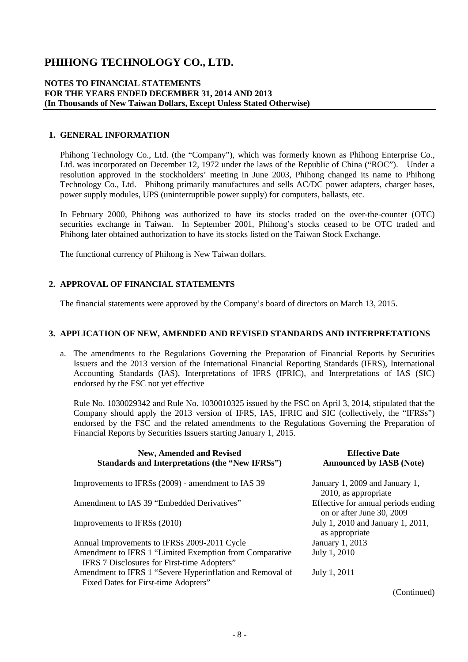# **NOTES TO FINANCIAL STATEMENTS FOR THE YEARS ENDED DECEMBER 31, 2014 AND 2013 (In Thousands of New Taiwan Dollars, Except Unless Stated Otherwise)**

# **1. GENERAL INFORMATION**

Phihong Technology Co., Ltd. (the "Company"), which was formerly known as Phihong Enterprise Co., Ltd. was incorporated on December 12, 1972 under the laws of the Republic of China ("ROC"). Under a resolution approved in the stockholders' meeting in June 2003, Phihong changed its name to Phihong Technology Co., Ltd. Phihong primarily manufactures and sells AC/DC power adapters, charger bases, power supply modules, UPS (uninterruptible power supply) for computers, ballasts, etc.

In February 2000, Phihong was authorized to have its stocks traded on the over-the-counter (OTC) securities exchange in Taiwan. In September 2001, Phihong's stocks ceased to be OTC traded and Phihong later obtained authorization to have its stocks listed on the Taiwan Stock Exchange.

The functional currency of Phihong is New Taiwan dollars.

# **2. APPROVAL OF FINANCIAL STATEMENTS**

The financial statements were approved by the Company's board of directors on March 13, 2015.

## **3. APPLICATION OF NEW, AMENDED AND REVISED STANDARDS AND INTERPRETATIONS**

a. The amendments to the Regulations Governing the Preparation of Financial Reports by Securities Issuers and the 2013 version of the International Financial Reporting Standards (IFRS), International Accounting Standards (IAS), Interpretations of IFRS (IFRIC), and Interpretations of IAS (SIC) endorsed by the FSC not yet effective

Rule No. 1030029342 and Rule No. 1030010325 issued by the FSC on April 3, 2014, stipulated that the Company should apply the 2013 version of IFRS, IAS, IFRIC and SIC (collectively, the "IFRSs") endorsed by the FSC and the related amendments to the Regulations Governing the Preparation of Financial Reports by Securities Issuers starting January 1, 2015.

| <b>New, Amended and Revised</b><br>Standards and Interpretations (the "New IFRSs")                     | <b>Effective Date</b><br><b>Announced by IASB (Note)</b>         |
|--------------------------------------------------------------------------------------------------------|------------------------------------------------------------------|
| Improvements to IFRSs (2009) - amendment to IAS 39                                                     | January 1, 2009 and January 1,<br>2010, as appropriate           |
| Amendment to IAS 39 "Embedded Derivatives"                                                             | Effective for annual periods ending<br>on or after June 30, 2009 |
| Improvements to IFRSs (2010)                                                                           | July 1, 2010 and January 1, 2011,<br>as appropriate              |
| Annual Improvements to IFRSs 2009-2011 Cycle                                                           | January 1, 2013                                                  |
| Amendment to IFRS 1 "Limited Exemption from Comparative<br>IFRS 7 Disclosures for First-time Adopters" | July 1, 2010                                                     |
| Amendment to IFRS 1 "Severe Hyperinflation and Removal of<br>Fixed Dates for First-time Adopters"      | July 1, 2011                                                     |
|                                                                                                        | (Continued)                                                      |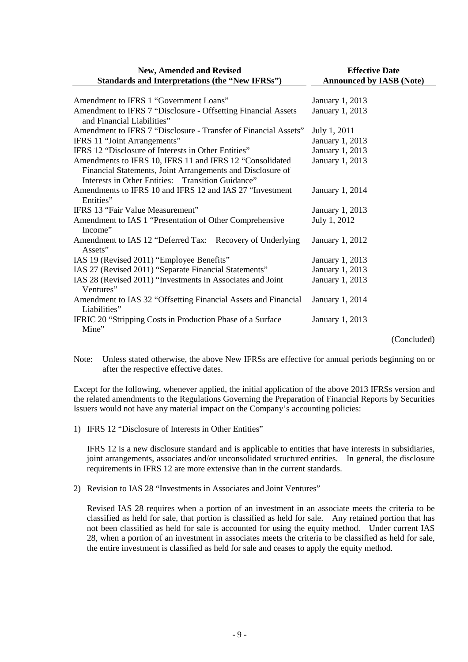| <b>New, Amended and Revised</b>                                                             | <b>Effective Date</b>           |
|---------------------------------------------------------------------------------------------|---------------------------------|
| Standards and Interpretations (the "New IFRSs")                                             | <b>Announced by IASB (Note)</b> |
| Amendment to IFRS 1 "Government Loans"                                                      | January 1, 2013                 |
| Amendment to IFRS 7 "Disclosure - Offsetting Financial Assets<br>and Financial Liabilities" | January 1, 2013                 |
| Amendment to IFRS 7 "Disclosure - Transfer of Financial Assets"                             | July 1, 2011                    |
| IFRS 11 "Joint Arrangements"                                                                | January 1, 2013                 |
| IFRS 12 "Disclosure of Interests in Other Entities"                                         | January 1, 2013                 |
| Amendments to IFRS 10, IFRS 11 and IFRS 12 "Consolidated                                    | January 1, 2013                 |
| Financial Statements, Joint Arrangements and Disclosure of                                  |                                 |
| Interests in Other Entities: Transition Guidance"                                           |                                 |
| Amendments to IFRS 10 and IFRS 12 and IAS 27 "Investment"                                   | January 1, 2014                 |
| Entities"                                                                                   |                                 |
| IFRS 13 "Fair Value Measurement"                                                            | January 1, 2013                 |
| Amendment to IAS 1 "Presentation of Other Comprehensive                                     | July 1, 2012                    |
| Income"                                                                                     |                                 |
| Amendment to IAS 12 "Deferred Tax: Recovery of Underlying<br>Assets"                        | January 1, 2012                 |
| IAS 19 (Revised 2011) "Employee Benefits"                                                   | January 1, 2013                 |
| IAS 27 (Revised 2011) "Separate Financial Statements"                                       | January 1, 2013                 |
| IAS 28 (Revised 2011) "Investments in Associates and Joint<br>Ventures"                     | January 1, 2013                 |
| Amendment to IAS 32 "Offsetting Financial Assets and Financial<br>Liabilities"              | January 1, 2014                 |
| IFRIC 20 "Stripping Costs in Production Phase of a Surface<br>Mine"                         | January 1, 2013                 |
|                                                                                             | (Concluded)                     |

Note: Unless stated otherwise, the above New IFRSs are effective for annual periods beginning on or after the respective effective dates.

Except for the following, whenever applied, the initial application of the above 2013 IFRSs version and the related amendments to the Regulations Governing the Preparation of Financial Reports by Securities Issuers would not have any material impact on the Company's accounting policies:

1) IFRS 12 "Disclosure of Interests in Other Entities"

IFRS 12 is a new disclosure standard and is applicable to entities that have interests in subsidiaries, joint arrangements, associates and/or unconsolidated structured entities. In general, the disclosure requirements in IFRS 12 are more extensive than in the current standards.

2) Revision to IAS 28 "Investments in Associates and Joint Ventures"

Revised IAS 28 requires when a portion of an investment in an associate meets the criteria to be classified as held for sale, that portion is classified as held for sale. Any retained portion that has not been classified as held for sale is accounted for using the equity method. Under current IAS 28, when a portion of an investment in associates meets the criteria to be classified as held for sale, the entire investment is classified as held for sale and ceases to apply the equity method.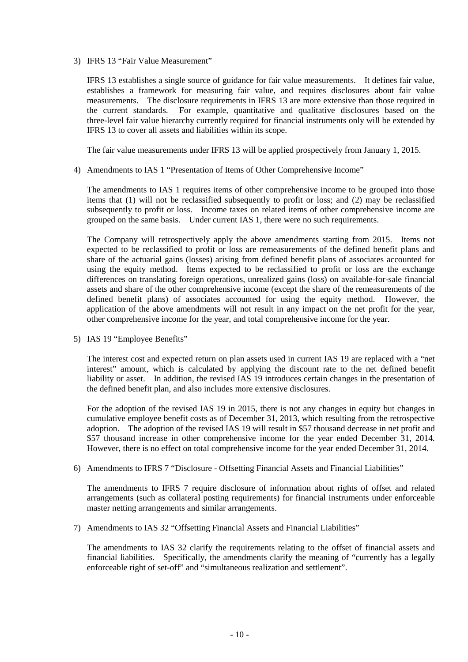3) IFRS 13 "Fair Value Measurement"

IFRS 13 establishes a single source of guidance for fair value measurements. It defines fair value, establishes a framework for measuring fair value, and requires disclosures about fair value measurements. The disclosure requirements in IFRS 13 are more extensive than those required in the current standards. For example, quantitative and qualitative disclosures based on the three-level fair value hierarchy currently required for financial instruments only will be extended by IFRS 13 to cover all assets and liabilities within its scope.

The fair value measurements under IFRS 13 will be applied prospectively from January 1, 2015.

4) Amendments to IAS 1 "Presentation of Items of Other Comprehensive Income"

The amendments to IAS 1 requires items of other comprehensive income to be grouped into those items that (1) will not be reclassified subsequently to profit or loss; and (2) may be reclassified subsequently to profit or loss. Income taxes on related items of other comprehensive income are grouped on the same basis. Under current IAS 1, there were no such requirements.

The Company will retrospectively apply the above amendments starting from 2015. Items not expected to be reclassified to profit or loss are remeasurements of the defined benefit plans and share of the actuarial gains (losses) arising from defined benefit plans of associates accounted for using the equity method. Items expected to be reclassified to profit or loss are the exchange differences on translating foreign operations, unrealized gains (loss) on available-for-sale financial assets and share of the other comprehensive income (except the share of the remeasurements of the defined benefit plans) of associates accounted for using the equity method. However, the application of the above amendments will not result in any impact on the net profit for the year, other comprehensive income for the year, and total comprehensive income for the year.

5) IAS 19 "Employee Benefits"

The interest cost and expected return on plan assets used in current IAS 19 are replaced with a "net interest" amount, which is calculated by applying the discount rate to the net defined benefit liability or asset. In addition, the revised IAS 19 introduces certain changes in the presentation of the defined benefit plan, and also includes more extensive disclosures.

For the adoption of the revised IAS 19 in 2015, there is not any changes in equity but changes in cumulative employee benefit costs as of December 31, 2013, which resulting from the retrospective adoption. The adoption of the revised IAS 19 will result in \$57 thousand decrease in net profit and \$57 thousand increase in other comprehensive income for the year ended December 31, 2014. However, there is no effect on total comprehensive income for the year ended December 31, 2014.

6) Amendments to IFRS 7 "Disclosure - Offsetting Financial Assets and Financial Liabilities"

The amendments to IFRS 7 require disclosure of information about rights of offset and related arrangements (such as collateral posting requirements) for financial instruments under enforceable master netting arrangements and similar arrangements.

7) Amendments to IAS 32 "Offsetting Financial Assets and Financial Liabilities"

The amendments to IAS 32 clarify the requirements relating to the offset of financial assets and financial liabilities. Specifically, the amendments clarify the meaning of "currently has a legally enforceable right of set-off" and "simultaneous realization and settlement".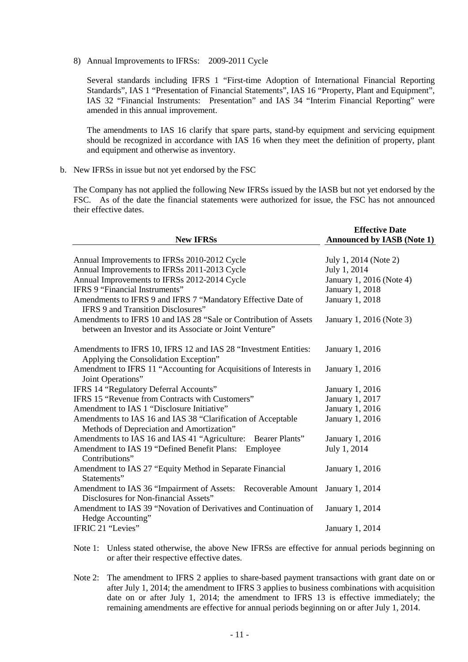8) Annual Improvements to IFRSs: 2009-2011 Cycle

Several standards including IFRS 1 "First-time Adoption of International Financial Reporting Standards", IAS 1 "Presentation of Financial Statements", IAS 16 "Property, Plant and Equipment", IAS 32 "Financial Instruments: Presentation" and IAS 34 "Interim Financial Reporting" were amended in this annual improvement.

The amendments to IAS 16 clarify that spare parts, stand-by equipment and servicing equipment should be recognized in accordance with IAS 16 when they meet the definition of property, plant and equipment and otherwise as inventory.

b. New IFRSs in issue but not yet endorsed by the FSC

The Company has not applied the following New IFRSs issued by the IASB but not yet endorsed by the FSC. As of the date the financial statements were authorized for issue, the FSC has not announced their effective dates.

| <b>New IFRSs</b>                                                                                         | <b>Effective Date</b><br><b>Announced by IASB (Note 1)</b> |
|----------------------------------------------------------------------------------------------------------|------------------------------------------------------------|
|                                                                                                          |                                                            |
| Annual Improvements to IFRSs 2010-2012 Cycle                                                             | July 1, 2014 (Note 2)                                      |
| Annual Improvements to IFRSs 2011-2013 Cycle                                                             | July 1, 2014                                               |
| Annual Improvements to IFRSs 2012-2014 Cycle                                                             | January 1, 2016 (Note 4)                                   |
| <b>IFRS 9 "Financial Instruments"</b>                                                                    | January 1, 2018                                            |
| Amendments to IFRS 9 and IFRS 7 "Mandatory Effective Date of<br>IFRS 9 and Transition Disclosures"       | January 1, 2018                                            |
| Amendments to IFRS 10 and IAS 28 "Sale or Contribution of Assets                                         | January 1, 2016 (Note 3)                                   |
| between an Investor and its Associate or Joint Venture"                                                  |                                                            |
| Amendments to IFRS 10, IFRS 12 and IAS 28 "Investment Entities:<br>Applying the Consolidation Exception" | January 1, 2016                                            |
| Amendment to IFRS 11 "Accounting for Acquisitions of Interests in<br>Joint Operations"                   | January 1, 2016                                            |
| IFRS 14 "Regulatory Deferral Accounts"                                                                   | January 1, 2016                                            |
| IFRS 15 "Revenue from Contracts with Customers"                                                          | January 1, 2017                                            |
| Amendment to IAS 1 "Disclosure Initiative"                                                               | January 1, 2016                                            |
| Amendments to IAS 16 and IAS 38 "Clarification of Acceptable                                             | January 1, 2016                                            |
| Methods of Depreciation and Amortization"                                                                |                                                            |
| Amendments to IAS 16 and IAS 41 "Agriculture: Bearer Plants"                                             | January 1, 2016                                            |
| Amendment to IAS 19 "Defined Benefit Plans: Employee<br>Contributions"                                   | July 1, 2014                                               |
| Amendment to IAS 27 "Equity Method in Separate Financial<br>Statements"                                  | January 1, 2016                                            |
| Amendment to IAS 36 "Impairment of Assets: Recoverable Amount                                            | January 1, 2014                                            |
| Disclosures for Non-financial Assets"                                                                    |                                                            |
| Amendment to IAS 39 "Novation of Derivatives and Continuation of                                         | January 1, 2014                                            |
| Hedge Accounting"                                                                                        |                                                            |
| IFRIC 21 "Levies"                                                                                        | January 1, 2014                                            |

Note 1: Unless stated otherwise, the above New IFRSs are effective for annual periods beginning on or after their respective effective dates.

Note 2: The amendment to IFRS 2 applies to share-based payment transactions with grant date on or after July 1, 2014; the amendment to IFRS 3 applies to business combinations with acquisition date on or after July 1, 2014; the amendment to IFRS 13 is effective immediately; the remaining amendments are effective for annual periods beginning on or after July 1, 2014.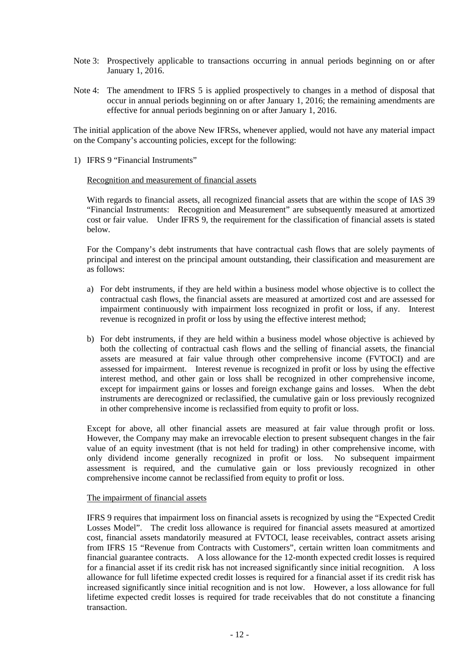- Note 3: Prospectively applicable to transactions occurring in annual periods beginning on or after January 1, 2016.
- Note 4: The amendment to IFRS 5 is applied prospectively to changes in a method of disposal that occur in annual periods beginning on or after January 1, 2016; the remaining amendments are effective for annual periods beginning on or after January 1, 2016.

The initial application of the above New IFRSs, whenever applied, would not have any material impact on the Company's accounting policies, except for the following:

1) IFRS 9 "Financial Instruments"

# Recognition and measurement of financial assets

With regards to financial assets, all recognized financial assets that are within the scope of IAS 39 "Financial Instruments: Recognition and Measurement" are subsequently measured at amortized cost or fair value. Under IFRS 9, the requirement for the classification of financial assets is stated below.

For the Company's debt instruments that have contractual cash flows that are solely payments of principal and interest on the principal amount outstanding, their classification and measurement are as follows:

- a) For debt instruments, if they are held within a business model whose objective is to collect the contractual cash flows, the financial assets are measured at amortized cost and are assessed for impairment continuously with impairment loss recognized in profit or loss, if any. Interest revenue is recognized in profit or loss by using the effective interest method;
- b) For debt instruments, if they are held within a business model whose objective is achieved by both the collecting of contractual cash flows and the selling of financial assets, the financial assets are measured at fair value through other comprehensive income (FVTOCI) and are assessed for impairment. Interest revenue is recognized in profit or loss by using the effective interest method, and other gain or loss shall be recognized in other comprehensive income, except for impairment gains or losses and foreign exchange gains and losses. When the debt instruments are derecognized or reclassified, the cumulative gain or loss previously recognized in other comprehensive income is reclassified from equity to profit or loss.

Except for above, all other financial assets are measured at fair value through profit or loss. However, the Company may make an irrevocable election to present subsequent changes in the fair value of an equity investment (that is not held for trading) in other comprehensive income, with only dividend income generally recognized in profit or loss. No subsequent impairment assessment is required, and the cumulative gain or loss previously recognized in other comprehensive income cannot be reclassified from equity to profit or loss.

# The impairment of financial assets

IFRS 9 requires that impairment loss on financial assets is recognized by using the "Expected Credit Losses Model". The credit loss allowance is required for financial assets measured at amortized cost, financial assets mandatorily measured at FVTOCI, lease receivables, contract assets arising from IFRS 15 "Revenue from Contracts with Customers", certain written loan commitments and financial guarantee contracts. A loss allowance for the 12-month expected credit losses is required for a financial asset if its credit risk has not increased significantly since initial recognition. A loss allowance for full lifetime expected credit losses is required for a financial asset if its credit risk has increased significantly since initial recognition and is not low. However, a loss allowance for full lifetime expected credit losses is required for trade receivables that do not constitute a financing transaction.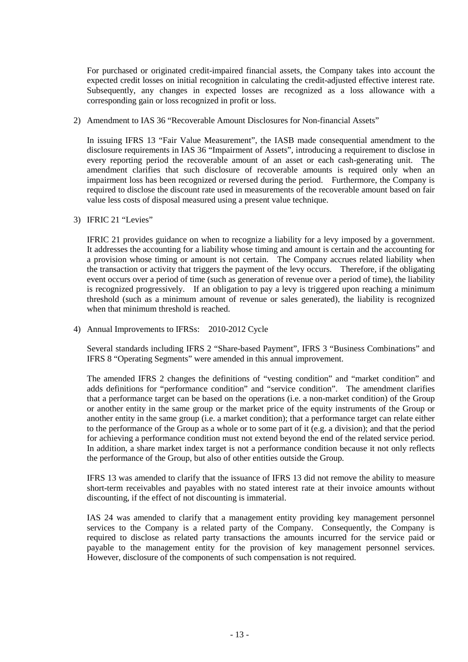For purchased or originated credit-impaired financial assets, the Company takes into account the expected credit losses on initial recognition in calculating the credit-adjusted effective interest rate. Subsequently, any changes in expected losses are recognized as a loss allowance with a corresponding gain or loss recognized in profit or loss.

2) Amendment to IAS 36 "Recoverable Amount Disclosures for Non-financial Assets"

In issuing IFRS 13 "Fair Value Measurement", the IASB made consequential amendment to the disclosure requirements in IAS 36 "Impairment of Assets", introducing a requirement to disclose in every reporting period the recoverable amount of an asset or each cash-generating unit. The amendment clarifies that such disclosure of recoverable amounts is required only when an impairment loss has been recognized or reversed during the period. Furthermore, the Company is required to disclose the discount rate used in measurements of the recoverable amount based on fair value less costs of disposal measured using a present value technique.

3) IFRIC 21 "Levies"

IFRIC 21 provides guidance on when to recognize a liability for a levy imposed by a government. It addresses the accounting for a liability whose timing and amount is certain and the accounting for a provision whose timing or amount is not certain. The Company accrues related liability when the transaction or activity that triggers the payment of the levy occurs. Therefore, if the obligating event occurs over a period of time (such as generation of revenue over a period of time), the liability is recognized progressively. If an obligation to pay a levy is triggered upon reaching a minimum threshold (such as a minimum amount of revenue or sales generated), the liability is recognized when that minimum threshold is reached.

4) Annual Improvements to IFRSs: 2010-2012 Cycle

Several standards including IFRS 2 "Share-based Payment", IFRS 3 "Business Combinations" and IFRS 8 "Operating Segments" were amended in this annual improvement.

The amended IFRS 2 changes the definitions of "vesting condition" and "market condition" and adds definitions for "performance condition" and "service condition". The amendment clarifies that a performance target can be based on the operations (i.e. a non-market condition) of the Group or another entity in the same group or the market price of the equity instruments of the Group or another entity in the same group (i.e. a market condition); that a performance target can relate either to the performance of the Group as a whole or to some part of it (e.g. a division); and that the period for achieving a performance condition must not extend beyond the end of the related service period. In addition, a share market index target is not a performance condition because it not only reflects the performance of the Group, but also of other entities outside the Group.

IFRS 13 was amended to clarify that the issuance of IFRS 13 did not remove the ability to measure short-term receivables and payables with no stated interest rate at their invoice amounts without discounting, if the effect of not discounting is immaterial.

IAS 24 was amended to clarify that a management entity providing key management personnel services to the Company is a related party of the Company. Consequently, the Company is required to disclose as related party transactions the amounts incurred for the service paid or payable to the management entity for the provision of key management personnel services. However, disclosure of the components of such compensation is not required.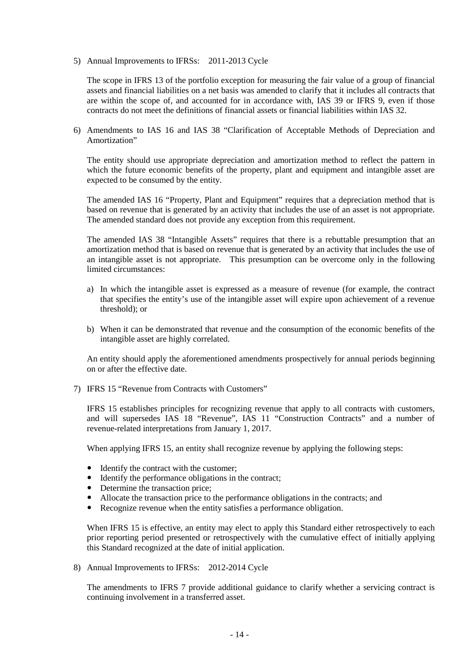5) Annual Improvements to IFRSs: 2011-2013 Cycle

The scope in IFRS 13 of the portfolio exception for measuring the fair value of a group of financial assets and financial liabilities on a net basis was amended to clarify that it includes all contracts that are within the scope of, and accounted for in accordance with, IAS 39 or IFRS 9, even if those contracts do not meet the definitions of financial assets or financial liabilities within IAS 32.

6) Amendments to IAS 16 and IAS 38 "Clarification of Acceptable Methods of Depreciation and Amortization"

The entity should use appropriate depreciation and amortization method to reflect the pattern in which the future economic benefits of the property, plant and equipment and intangible asset are expected to be consumed by the entity.

The amended IAS 16 "Property, Plant and Equipment" requires that a depreciation method that is based on revenue that is generated by an activity that includes the use of an asset is not appropriate. The amended standard does not provide any exception from this requirement.

The amended IAS 38 "Intangible Assets" requires that there is a rebuttable presumption that an amortization method that is based on revenue that is generated by an activity that includes the use of an intangible asset is not appropriate. This presumption can be overcome only in the following limited circumstances:

- a) In which the intangible asset is expressed as a measure of revenue (for example, the contract that specifies the entity's use of the intangible asset will expire upon achievement of a revenue threshold); or
- b) When it can be demonstrated that revenue and the consumption of the economic benefits of the intangible asset are highly correlated.

An entity should apply the aforementioned amendments prospectively for annual periods beginning on or after the effective date.

7) IFRS 15 "Revenue from Contracts with Customers"

IFRS 15 establishes principles for recognizing revenue that apply to all contracts with customers, and will supersedes IAS 18 "Revenue", IAS 11 "Construction Contracts" and a number of revenue-related interpretations from January 1, 2017.

When applying IFRS 15, an entity shall recognize revenue by applying the following steps:

- Identify the contract with the customer;
- Identify the performance obligations in the contract;
- Determine the transaction price;
- Allocate the transaction price to the performance obligations in the contracts; and
- Recognize revenue when the entity satisfies a performance obligation.

When IFRS 15 is effective, an entity may elect to apply this Standard either retrospectively to each prior reporting period presented or retrospectively with the cumulative effect of initially applying this Standard recognized at the date of initial application.

8) Annual Improvements to IFRSs: 2012-2014 Cycle

The amendments to IFRS 7 provide additional guidance to clarify whether a servicing contract is continuing involvement in a transferred asset.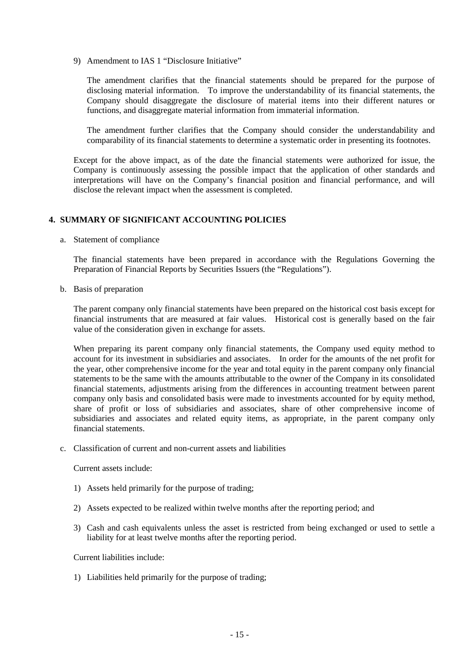9) Amendment to IAS 1 "Disclosure Initiative"

The amendment clarifies that the financial statements should be prepared for the purpose of disclosing material information. To improve the understandability of its financial statements, the Company should disaggregate the disclosure of material items into their different natures or functions, and disaggregate material information from immaterial information.

The amendment further clarifies that the Company should consider the understandability and comparability of its financial statements to determine a systematic order in presenting its footnotes.

Except for the above impact, as of the date the financial statements were authorized for issue, the Company is continuously assessing the possible impact that the application of other standards and interpretations will have on the Company's financial position and financial performance, and will disclose the relevant impact when the assessment is completed.

# **4. SUMMARY OF SIGNIFICANT ACCOUNTING POLICIES**

a. Statement of compliance

The financial statements have been prepared in accordance with the Regulations Governing the Preparation of Financial Reports by Securities Issuers (the "Regulations").

b. Basis of preparation

The parent company only financial statements have been prepared on the historical cost basis except for financial instruments that are measured at fair values. Historical cost is generally based on the fair value of the consideration given in exchange for assets.

When preparing its parent company only financial statements, the Company used equity method to account for its investment in subsidiaries and associates. In order for the amounts of the net profit for the year, other comprehensive income for the year and total equity in the parent company only financial statements to be the same with the amounts attributable to the owner of the Company in its consolidated financial statements, adjustments arising from the differences in accounting treatment between parent company only basis and consolidated basis were made to investments accounted for by equity method, share of profit or loss of subsidiaries and associates, share of other comprehensive income of subsidiaries and associates and related equity items, as appropriate, in the parent company only financial statements.

c. Classification of current and non-current assets and liabilities

Current assets include:

- 1) Assets held primarily for the purpose of trading;
- 2) Assets expected to be realized within twelve months after the reporting period; and
- 3) Cash and cash equivalents unless the asset is restricted from being exchanged or used to settle a liability for at least twelve months after the reporting period.

Current liabilities include:

1) Liabilities held primarily for the purpose of trading;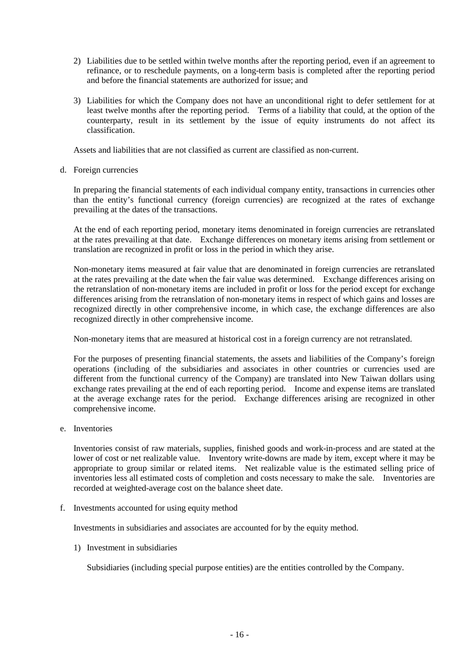- 2) Liabilities due to be settled within twelve months after the reporting period, even if an agreement to refinance, or to reschedule payments, on a long-term basis is completed after the reporting period and before the financial statements are authorized for issue; and
- 3) Liabilities for which the Company does not have an unconditional right to defer settlement for at least twelve months after the reporting period. Terms of a liability that could, at the option of the counterparty, result in its settlement by the issue of equity instruments do not affect its classification.

Assets and liabilities that are not classified as current are classified as non-current.

d. Foreign currencies

In preparing the financial statements of each individual company entity, transactions in currencies other than the entity's functional currency (foreign currencies) are recognized at the rates of exchange prevailing at the dates of the transactions.

At the end of each reporting period, monetary items denominated in foreign currencies are retranslated at the rates prevailing at that date. Exchange differences on monetary items arising from settlement or translation are recognized in profit or loss in the period in which they arise.

Non-monetary items measured at fair value that are denominated in foreign currencies are retranslated at the rates prevailing at the date when the fair value was determined. Exchange differences arising on the retranslation of non-monetary items are included in profit or loss for the period except for exchange differences arising from the retranslation of non-monetary items in respect of which gains and losses are recognized directly in other comprehensive income, in which case, the exchange differences are also recognized directly in other comprehensive income.

Non-monetary items that are measured at historical cost in a foreign currency are not retranslated.

For the purposes of presenting financial statements, the assets and liabilities of the Company's foreign operations (including of the subsidiaries and associates in other countries or currencies used are different from the functional currency of the Company) are translated into New Taiwan dollars using exchange rates prevailing at the end of each reporting period. Income and expense items are translated at the average exchange rates for the period. Exchange differences arising are recognized in other comprehensive income.

e. Inventories

Inventories consist of raw materials, supplies, finished goods and work-in-process and are stated at the lower of cost or net realizable value. Inventory write-downs are made by item, except where it may be appropriate to group similar or related items. Net realizable value is the estimated selling price of inventories less all estimated costs of completion and costs necessary to make the sale. Inventories are recorded at weighted-average cost on the balance sheet date.

f. Investments accounted for using equity method

Investments in subsidiaries and associates are accounted for by the equity method.

1) Investment in subsidiaries

Subsidiaries (including special purpose entities) are the entities controlled by the Company.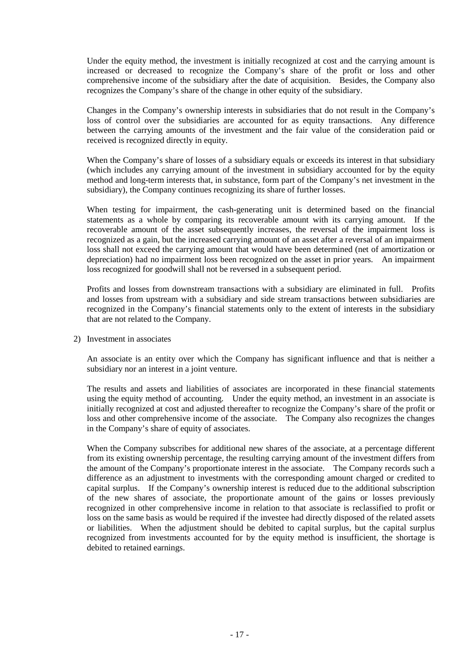Under the equity method, the investment is initially recognized at cost and the carrying amount is increased or decreased to recognize the Company's share of the profit or loss and other comprehensive income of the subsidiary after the date of acquisition. Besides, the Company also recognizes the Company's share of the change in other equity of the subsidiary.

Changes in the Company's ownership interests in subsidiaries that do not result in the Company's loss of control over the subsidiaries are accounted for as equity transactions. Any difference between the carrying amounts of the investment and the fair value of the consideration paid or received is recognized directly in equity.

When the Company's share of losses of a subsidiary equals or exceeds its interest in that subsidiary (which includes any carrying amount of the investment in subsidiary accounted for by the equity method and long-term interests that, in substance, form part of the Company's net investment in the subsidiary), the Company continues recognizing its share of further losses.

When testing for impairment, the cash-generating unit is determined based on the financial statements as a whole by comparing its recoverable amount with its carrying amount. If the recoverable amount of the asset subsequently increases, the reversal of the impairment loss is recognized as a gain, but the increased carrying amount of an asset after a reversal of an impairment loss shall not exceed the carrying amount that would have been determined (net of amortization or depreciation) had no impairment loss been recognized on the asset in prior years. An impairment loss recognized for goodwill shall not be reversed in a subsequent period.

Profits and losses from downstream transactions with a subsidiary are eliminated in full. Profits and losses from upstream with a subsidiary and side stream transactions between subsidiaries are recognized in the Company's financial statements only to the extent of interests in the subsidiary that are not related to the Company.

2) Investment in associates

An associate is an entity over which the Company has significant influence and that is neither a subsidiary nor an interest in a joint venture.

The results and assets and liabilities of associates are incorporated in these financial statements using the equity method of accounting. Under the equity method, an investment in an associate is initially recognized at cost and adjusted thereafter to recognize the Company's share of the profit or loss and other comprehensive income of the associate. The Company also recognizes the changes in the Company's share of equity of associates.

When the Company subscribes for additional new shares of the associate, at a percentage different from its existing ownership percentage, the resulting carrying amount of the investment differs from the amount of the Company's proportionate interest in the associate. The Company records such a difference as an adjustment to investments with the corresponding amount charged or credited to capital surplus. If the Company's ownership interest is reduced due to the additional subscription of the new shares of associate, the proportionate amount of the gains or losses previously recognized in other comprehensive income in relation to that associate is reclassified to profit or loss on the same basis as would be required if the investee had directly disposed of the related assets or liabilities. When the adjustment should be debited to capital surplus, but the capital surplus recognized from investments accounted for by the equity method is insufficient, the shortage is debited to retained earnings.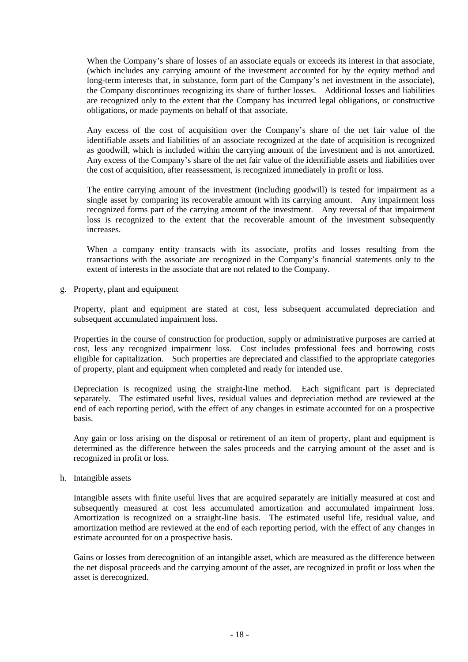When the Company's share of losses of an associate equals or exceeds its interest in that associate, (which includes any carrying amount of the investment accounted for by the equity method and long-term interests that, in substance, form part of the Company's net investment in the associate), the Company discontinues recognizing its share of further losses. Additional losses and liabilities are recognized only to the extent that the Company has incurred legal obligations, or constructive obligations, or made payments on behalf of that associate.

Any excess of the cost of acquisition over the Company's share of the net fair value of the identifiable assets and liabilities of an associate recognized at the date of acquisition is recognized as goodwill, which is included within the carrying amount of the investment and is not amortized. Any excess of the Company's share of the net fair value of the identifiable assets and liabilities over the cost of acquisition, after reassessment, is recognized immediately in profit or loss.

The entire carrying amount of the investment (including goodwill) is tested for impairment as a single asset by comparing its recoverable amount with its carrying amount. Any impairment loss recognized forms part of the carrying amount of the investment. Any reversal of that impairment loss is recognized to the extent that the recoverable amount of the investment subsequently increases.

When a company entity transacts with its associate, profits and losses resulting from the transactions with the associate are recognized in the Company's financial statements only to the extent of interests in the associate that are not related to the Company.

g. Property, plant and equipment

Property, plant and equipment are stated at cost, less subsequent accumulated depreciation and subsequent accumulated impairment loss.

Properties in the course of construction for production, supply or administrative purposes are carried at cost, less any recognized impairment loss. Cost includes professional fees and borrowing costs eligible for capitalization. Such properties are depreciated and classified to the appropriate categories of property, plant and equipment when completed and ready for intended use.

Depreciation is recognized using the straight-line method. Each significant part is depreciated separately. The estimated useful lives, residual values and depreciation method are reviewed at the end of each reporting period, with the effect of any changes in estimate accounted for on a prospective basis.

Any gain or loss arising on the disposal or retirement of an item of property, plant and equipment is determined as the difference between the sales proceeds and the carrying amount of the asset and is recognized in profit or loss.

# h. Intangible assets

Intangible assets with finite useful lives that are acquired separately are initially measured at cost and subsequently measured at cost less accumulated amortization and accumulated impairment loss. Amortization is recognized on a straight-line basis. The estimated useful life, residual value, and amortization method are reviewed at the end of each reporting period, with the effect of any changes in estimate accounted for on a prospective basis.

Gains or losses from derecognition of an intangible asset, which are measured as the difference between the net disposal proceeds and the carrying amount of the asset, are recognized in profit or loss when the asset is derecognized.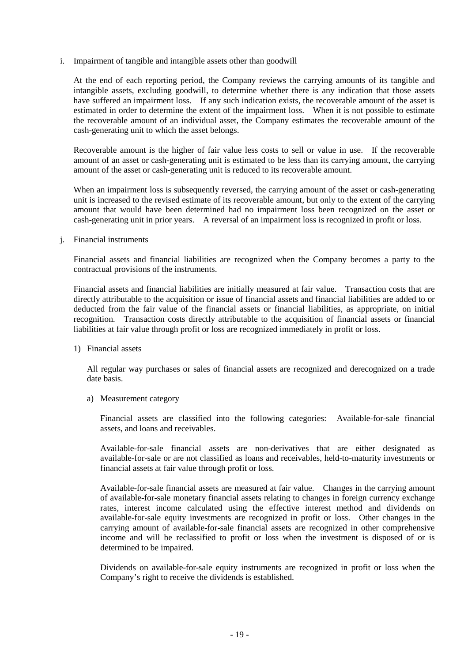i. Impairment of tangible and intangible assets other than goodwill

At the end of each reporting period, the Company reviews the carrying amounts of its tangible and intangible assets, excluding goodwill, to determine whether there is any indication that those assets have suffered an impairment loss. If any such indication exists, the recoverable amount of the asset is estimated in order to determine the extent of the impairment loss. When it is not possible to estimate the recoverable amount of an individual asset, the Company estimates the recoverable amount of the cash-generating unit to which the asset belongs.

Recoverable amount is the higher of fair value less costs to sell or value in use. If the recoverable amount of an asset or cash-generating unit is estimated to be less than its carrying amount, the carrying amount of the asset or cash-generating unit is reduced to its recoverable amount.

When an impairment loss is subsequently reversed, the carrying amount of the asset or cash-generating unit is increased to the revised estimate of its recoverable amount, but only to the extent of the carrying amount that would have been determined had no impairment loss been recognized on the asset or cash-generating unit in prior years. A reversal of an impairment loss is recognized in profit or loss.

j. Financial instruments

Financial assets and financial liabilities are recognized when the Company becomes a party to the contractual provisions of the instruments.

Financial assets and financial liabilities are initially measured at fair value. Transaction costs that are directly attributable to the acquisition or issue of financial assets and financial liabilities are added to or deducted from the fair value of the financial assets or financial liabilities, as appropriate, on initial recognition. Transaction costs directly attributable to the acquisition of financial assets or financial liabilities at fair value through profit or loss are recognized immediately in profit or loss.

1) Financial assets

All regular way purchases or sales of financial assets are recognized and derecognized on a trade date basis.

a) Measurement category

Financial assets are classified into the following categories: Available-for-sale financial assets, and loans and receivables.

Available-for-sale financial assets are non-derivatives that are either designated as available-for-sale or are not classified as loans and receivables, held-to-maturity investments or financial assets at fair value through profit or loss.

Available-for-sale financial assets are measured at fair value. Changes in the carrying amount of available-for-sale monetary financial assets relating to changes in foreign currency exchange rates, interest income calculated using the effective interest method and dividends on available-for-sale equity investments are recognized in profit or loss. Other changes in the carrying amount of available-for-sale financial assets are recognized in other comprehensive income and will be reclassified to profit or loss when the investment is disposed of or is determined to be impaired.

Dividends on available-for-sale equity instruments are recognized in profit or loss when the Company's right to receive the dividends is established.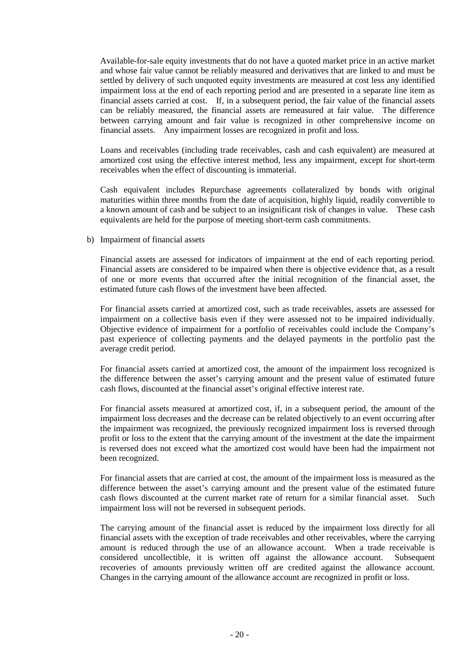Available-for-sale equity investments that do not have a quoted market price in an active market and whose fair value cannot be reliably measured and derivatives that are linked to and must be settled by delivery of such unquoted equity investments are measured at cost less any identified impairment loss at the end of each reporting period and are presented in a separate line item as financial assets carried at cost. If, in a subsequent period, the fair value of the financial assets can be reliably measured, the financial assets are remeasured at fair value. The difference between carrying amount and fair value is recognized in other comprehensive income on financial assets. Any impairment losses are recognized in profit and loss.

Loans and receivables (including trade receivables, cash and cash equivalent) are measured at amortized cost using the effective interest method, less any impairment, except for short-term receivables when the effect of discounting is immaterial.

Cash equivalent includes Repurchase agreements collateralized by bonds with original maturities within three months from the date of acquisition, highly liquid, readily convertible to a known amount of cash and be subject to an insignificant risk of changes in value. These cash equivalents are held for the purpose of meeting short-term cash commitments.

b) Impairment of financial assets

Financial assets are assessed for indicators of impairment at the end of each reporting period. Financial assets are considered to be impaired when there is objective evidence that, as a result of one or more events that occurred after the initial recognition of the financial asset, the estimated future cash flows of the investment have been affected.

For financial assets carried at amortized cost, such as trade receivables, assets are assessed for impairment on a collective basis even if they were assessed not to be impaired individually. Objective evidence of impairment for a portfolio of receivables could include the Company's past experience of collecting payments and the delayed payments in the portfolio past the average credit period.

For financial assets carried at amortized cost, the amount of the impairment loss recognized is the difference between the asset's carrying amount and the present value of estimated future cash flows, discounted at the financial asset's original effective interest rate.

For financial assets measured at amortized cost, if, in a subsequent period, the amount of the impairment loss decreases and the decrease can be related objectively to an event occurring after the impairment was recognized, the previously recognized impairment loss is reversed through profit or loss to the extent that the carrying amount of the investment at the date the impairment is reversed does not exceed what the amortized cost would have been had the impairment not been recognized.

For financial assets that are carried at cost, the amount of the impairment loss is measured as the difference between the asset's carrying amount and the present value of the estimated future cash flows discounted at the current market rate of return for a similar financial asset. Such impairment loss will not be reversed in subsequent periods.

The carrying amount of the financial asset is reduced by the impairment loss directly for all financial assets with the exception of trade receivables and other receivables, where the carrying amount is reduced through the use of an allowance account. When a trade receivable is considered uncollectible, it is written off against the allowance account. Subsequent recoveries of amounts previously written off are credited against the allowance account. Changes in the carrying amount of the allowance account are recognized in profit or loss.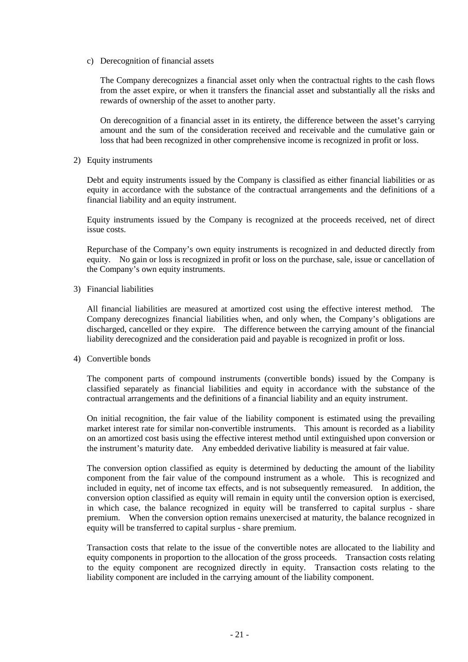c) Derecognition of financial assets

The Company derecognizes a financial asset only when the contractual rights to the cash flows from the asset expire, or when it transfers the financial asset and substantially all the risks and rewards of ownership of the asset to another party.

On derecognition of a financial asset in its entirety, the difference between the asset's carrying amount and the sum of the consideration received and receivable and the cumulative gain or loss that had been recognized in other comprehensive income is recognized in profit or loss.

2) Equity instruments

Debt and equity instruments issued by the Company is classified as either financial liabilities or as equity in accordance with the substance of the contractual arrangements and the definitions of a financial liability and an equity instrument.

Equity instruments issued by the Company is recognized at the proceeds received, net of direct issue costs.

Repurchase of the Company's own equity instruments is recognized in and deducted directly from equity. No gain or loss is recognized in profit or loss on the purchase, sale, issue or cancellation of the Company's own equity instruments.

3) Financial liabilities

All financial liabilities are measured at amortized cost using the effective interest method. The Company derecognizes financial liabilities when, and only when, the Company's obligations are discharged, cancelled or they expire. The difference between the carrying amount of the financial liability derecognized and the consideration paid and payable is recognized in profit or loss.

4) Convertible bonds

The component parts of compound instruments (convertible bonds) issued by the Company is classified separately as financial liabilities and equity in accordance with the substance of the contractual arrangements and the definitions of a financial liability and an equity instrument.

On initial recognition, the fair value of the liability component is estimated using the prevailing market interest rate for similar non-convertible instruments. This amount is recorded as a liability on an amortized cost basis using the effective interest method until extinguished upon conversion or the instrument's maturity date. Any embedded derivative liability is measured at fair value.

The conversion option classified as equity is determined by deducting the amount of the liability component from the fair value of the compound instrument as a whole. This is recognized and included in equity, net of income tax effects, and is not subsequently remeasured. In addition, the conversion option classified as equity will remain in equity until the conversion option is exercised, in which case, the balance recognized in equity will be transferred to capital surplus - share premium. When the conversion option remains unexercised at maturity, the balance recognized in equity will be transferred to capital surplus - share premium.

Transaction costs that relate to the issue of the convertible notes are allocated to the liability and equity components in proportion to the allocation of the gross proceeds. Transaction costs relating to the equity component are recognized directly in equity. Transaction costs relating to the liability component are included in the carrying amount of the liability component.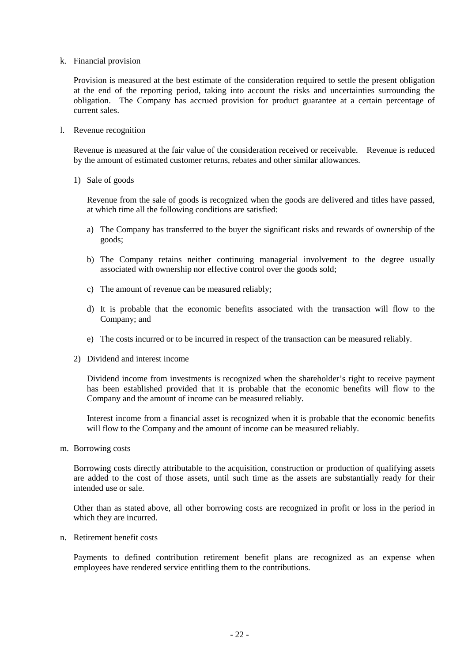k. Financial provision

Provision is measured at the best estimate of the consideration required to settle the present obligation at the end of the reporting period, taking into account the risks and uncertainties surrounding the obligation. The Company has accrued provision for product guarantee at a certain percentage of current sales.

l. Revenue recognition

Revenue is measured at the fair value of the consideration received or receivable. Revenue is reduced by the amount of estimated customer returns, rebates and other similar allowances.

1) Sale of goods

Revenue from the sale of goods is recognized when the goods are delivered and titles have passed, at which time all the following conditions are satisfied:

- a) The Company has transferred to the buyer the significant risks and rewards of ownership of the goods;
- b) The Company retains neither continuing managerial involvement to the degree usually associated with ownership nor effective control over the goods sold;
- c) The amount of revenue can be measured reliably;
- d) It is probable that the economic benefits associated with the transaction will flow to the Company; and
- e) The costs incurred or to be incurred in respect of the transaction can be measured reliably.
- 2) Dividend and interest income

Dividend income from investments is recognized when the shareholder's right to receive payment has been established provided that it is probable that the economic benefits will flow to the Company and the amount of income can be measured reliably.

Interest income from a financial asset is recognized when it is probable that the economic benefits will flow to the Company and the amount of income can be measured reliably.

m. Borrowing costs

Borrowing costs directly attributable to the acquisition, construction or production of qualifying assets are added to the cost of those assets, until such time as the assets are substantially ready for their intended use or sale.

Other than as stated above, all other borrowing costs are recognized in profit or loss in the period in which they are incurred.

n. Retirement benefit costs

Payments to defined contribution retirement benefit plans are recognized as an expense when employees have rendered service entitling them to the contributions.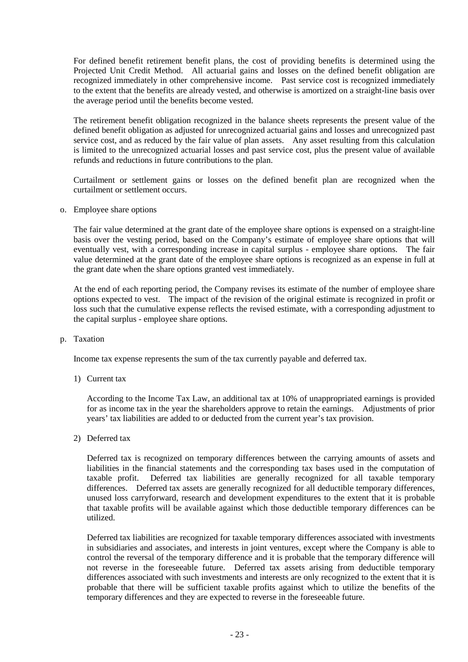For defined benefit retirement benefit plans, the cost of providing benefits is determined using the Projected Unit Credit Method. All actuarial gains and losses on the defined benefit obligation are recognized immediately in other comprehensive income. Past service cost is recognized immediately to the extent that the benefits are already vested, and otherwise is amortized on a straight-line basis over the average period until the benefits become vested.

The retirement benefit obligation recognized in the balance sheets represents the present value of the defined benefit obligation as adjusted for unrecognized actuarial gains and losses and unrecognized past service cost, and as reduced by the fair value of plan assets. Any asset resulting from this calculation is limited to the unrecognized actuarial losses and past service cost, plus the present value of available refunds and reductions in future contributions to the plan.

Curtailment or settlement gains or losses on the defined benefit plan are recognized when the curtailment or settlement occurs.

o. Employee share options

The fair value determined at the grant date of the employee share options is expensed on a straight-line basis over the vesting period, based on the Company's estimate of employee share options that will eventually vest, with a corresponding increase in capital surplus - employee share options. The fair value determined at the grant date of the employee share options is recognized as an expense in full at the grant date when the share options granted vest immediately.

At the end of each reporting period, the Company revises its estimate of the number of employee share options expected to vest. The impact of the revision of the original estimate is recognized in profit or loss such that the cumulative expense reflects the revised estimate, with a corresponding adjustment to the capital surplus - employee share options.

p. Taxation

Income tax expense represents the sum of the tax currently payable and deferred tax.

1) Current tax

According to the Income Tax Law, an additional tax at 10% of unappropriated earnings is provided for as income tax in the year the shareholders approve to retain the earnings. Adjustments of prior years' tax liabilities are added to or deducted from the current year's tax provision.

2) Deferred tax

Deferred tax is recognized on temporary differences between the carrying amounts of assets and liabilities in the financial statements and the corresponding tax bases used in the computation of taxable profit. Deferred tax liabilities are generally recognized for all taxable temporary differences. Deferred tax assets are generally recognized for all deductible temporary differences, unused loss carryforward, research and development expenditures to the extent that it is probable that taxable profits will be available against which those deductible temporary differences can be utilized.

Deferred tax liabilities are recognized for taxable temporary differences associated with investments in subsidiaries and associates, and interests in joint ventures, except where the Company is able to control the reversal of the temporary difference and it is probable that the temporary difference will not reverse in the foreseeable future. Deferred tax assets arising from deductible temporary differences associated with such investments and interests are only recognized to the extent that it is probable that there will be sufficient taxable profits against which to utilize the benefits of the temporary differences and they are expected to reverse in the foreseeable future.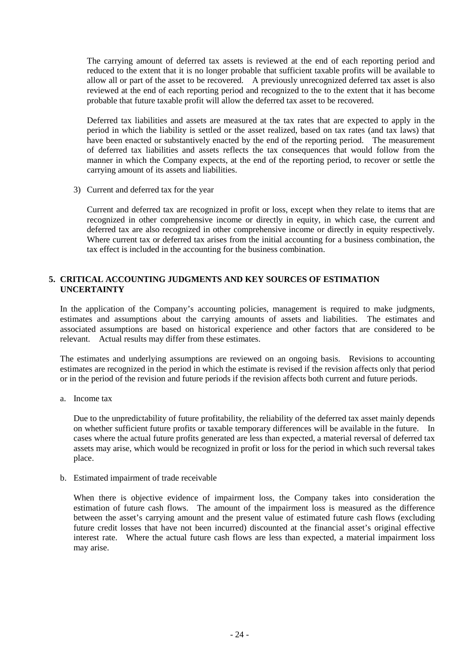The carrying amount of deferred tax assets is reviewed at the end of each reporting period and reduced to the extent that it is no longer probable that sufficient taxable profits will be available to allow all or part of the asset to be recovered. A previously unrecognized deferred tax asset is also reviewed at the end of each reporting period and recognized to the to the extent that it has become probable that future taxable profit will allow the deferred tax asset to be recovered.

Deferred tax liabilities and assets are measured at the tax rates that are expected to apply in the period in which the liability is settled or the asset realized, based on tax rates (and tax laws) that have been enacted or substantively enacted by the end of the reporting period. The measurement of deferred tax liabilities and assets reflects the tax consequences that would follow from the manner in which the Company expects, at the end of the reporting period, to recover or settle the carrying amount of its assets and liabilities.

3) Current and deferred tax for the year

Current and deferred tax are recognized in profit or loss, except when they relate to items that are recognized in other comprehensive income or directly in equity, in which case, the current and deferred tax are also recognized in other comprehensive income or directly in equity respectively. Where current tax or deferred tax arises from the initial accounting for a business combination, the tax effect is included in the accounting for the business combination.

# **5. CRITICAL ACCOUNTING JUDGMENTS AND KEY SOURCES OF ESTIMATION UNCERTAINTY**

In the application of the Company's accounting policies, management is required to make judgments, estimates and assumptions about the carrying amounts of assets and liabilities. The estimates and associated assumptions are based on historical experience and other factors that are considered to be relevant. Actual results may differ from these estimates.

The estimates and underlying assumptions are reviewed on an ongoing basis. Revisions to accounting estimates are recognized in the period in which the estimate is revised if the revision affects only that period or in the period of the revision and future periods if the revision affects both current and future periods.

a. Income tax

Due to the unpredictability of future profitability, the reliability of the deferred tax asset mainly depends on whether sufficient future profits or taxable temporary differences will be available in the future. In cases where the actual future profits generated are less than expected, a material reversal of deferred tax assets may arise, which would be recognized in profit or loss for the period in which such reversal takes place.

b. Estimated impairment of trade receivable

When there is objective evidence of impairment loss, the Company takes into consideration the estimation of future cash flows. The amount of the impairment loss is measured as the difference between the asset's carrying amount and the present value of estimated future cash flows (excluding future credit losses that have not been incurred) discounted at the financial asset's original effective interest rate. Where the actual future cash flows are less than expected, a material impairment loss may arise.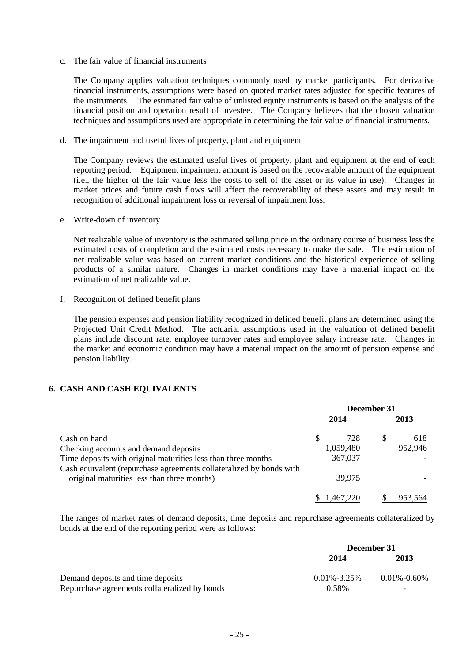c. The fair value of financial instruments

The Company applies valuation techniques commonly used by market participants. For derivative financial instruments, assumptions were based on quoted market rates adjusted for specific features of the instruments. The estimated fair value of unlisted equity instruments is based on the analysis of the financial position and operation result of investee. The Company believes that the chosen valuation techniques and assumptions used are appropriate in determining the fair value of financial instruments.

d. The impairment and useful lives of property, plant and equipment

The Company reviews the estimated useful lives of property, plant and equipment at the end of each reporting period. Equipment impairment amount is based on the recoverable amount of the equipment (i.e., the higher of the fair value less the costs to sell of the asset or its value in use). Changes in market prices and future cash flows will affect the recoverability of these assets and may result in recognition of additional impairment loss or reversal of impairment loss.

e. Write-down of inventory

Net realizable value of inventory is the estimated selling price in the ordinary course of business less the estimated costs of completion and the estimated costs necessary to make the sale. The estimation of net realizable value was based on current market conditions and the historical experience of selling products of a similar nature. Changes in market conditions may have a material impact on the estimation of net realizable value.

f. Recognition of defined benefit plans

The pension expenses and pension liability recognized in defined benefit plans are determined using the Projected Unit Credit Method. The actuarial assumptions used in the valuation of defined benefit plans include discount rate, employee turnover rates and employee salary increase rate. Changes in the market and economic condition may have a material impact on the amount of pension expense and pension liability.

# **6. CASH AND CASH EQUIVALENTS**

|                                                                     | December 31 |           |  |         |
|---------------------------------------------------------------------|-------------|-----------|--|---------|
|                                                                     |             | 2014      |  | 2013    |
| Cash on hand                                                        | S           | 728       |  | 618     |
| Checking accounts and demand deposits                               |             | 1,059,480 |  | 952,946 |
| Time deposits with original maturities less than three months       |             | 367,037   |  |         |
| Cash equivalent (repurchase agreements collateralized by bonds with |             |           |  |         |
| original maturities less than three months)                         |             | 39.975    |  |         |
|                                                                     |             | 1,46/220  |  | 953.564 |

The ranges of market rates of demand deposits, time deposits and repurchase agreements collateralized by bonds at the end of the reporting period were as follows:

|                                               | December 31       |                 |  |  |
|-----------------------------------------------|-------------------|-----------------|--|--|
|                                               | 2014              | 2013            |  |  |
| Demand deposits and time deposits             | $0.01\% - 3.25\%$ | $0.01\%$ -0.60% |  |  |
| Repurchase agreements collateralized by bonds | 0.58%             |                 |  |  |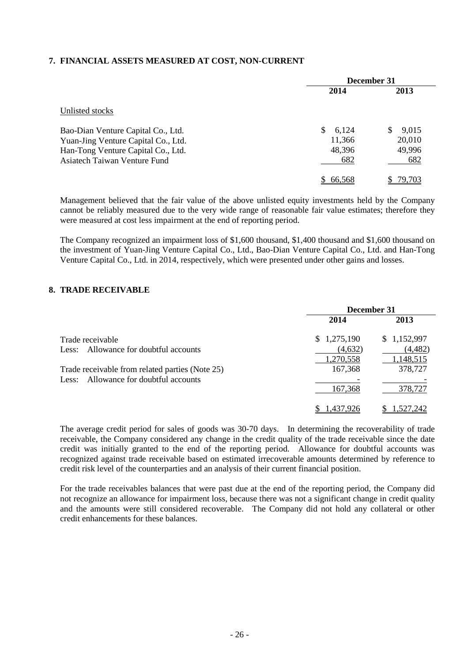# **7. FINANCIAL ASSETS MEASURED AT COST, NON-CURRENT**

|                                     | December 31 |                    |
|-------------------------------------|-------------|--------------------|
|                                     | 2014        | 2013               |
| Unlisted stocks                     |             |                    |
| Bao-Dian Venture Capital Co., Ltd.  | 6,124<br>S  | 9,015<br>\$.       |
| Yuan-Jing Venture Capital Co., Ltd. | 11,366      | 20,010             |
| Han-Tong Venture Capital Co., Ltd.  | 48,396      | 49,996             |
| Asiatech Taiwan Venture Fund        | 682         | 682                |
|                                     | 66.568      | 79 70 <sup>-</sup> |

Management believed that the fair value of the above unlisted equity investments held by the Company cannot be reliably measured due to the very wide range of reasonable fair value estimates; therefore they were measured at cost less impairment at the end of reporting period.

The Company recognized an impairment loss of \$1,600 thousand, \$1,400 thousand and \$1,600 thousand on the investment of Yuan-Jing Venture Capital Co., Ltd., Bao-Dian Venture Capital Co., Ltd. and Han-Tong Venture Capital Co., Ltd. in 2014, respectively, which were presented under other gains and losses.

## **8. TRADE RECEIVABLE**

|                                                 | December 31 |             |
|-------------------------------------------------|-------------|-------------|
|                                                 | 2014        | 2013        |
| Trade receivable                                | \$1,275,190 | \$1,152,997 |
| Less: Allowance for doubtful accounts           | (4,632)     | (4, 482)    |
|                                                 | 1,270,558   | 1,148,515   |
| Trade receivable from related parties (Note 25) | 167,368     | 378,727     |
| Less: Allowance for doubtful accounts           |             |             |
|                                                 | 167,368     | 378,727     |
|                                                 | .437.926    |             |

The average credit period for sales of goods was 30-70 days. In determining the recoverability of trade receivable, the Company considered any change in the credit quality of the trade receivable since the date credit was initially granted to the end of the reporting period. Allowance for doubtful accounts was recognized against trade receivable based on estimated irrecoverable amounts determined by reference to credit risk level of the counterparties and an analysis of their current financial position.

For the trade receivables balances that were past due at the end of the reporting period, the Company did not recognize an allowance for impairment loss, because there was not a significant change in credit quality and the amounts were still considered recoverable. The Company did not hold any collateral or other credit enhancements for these balances.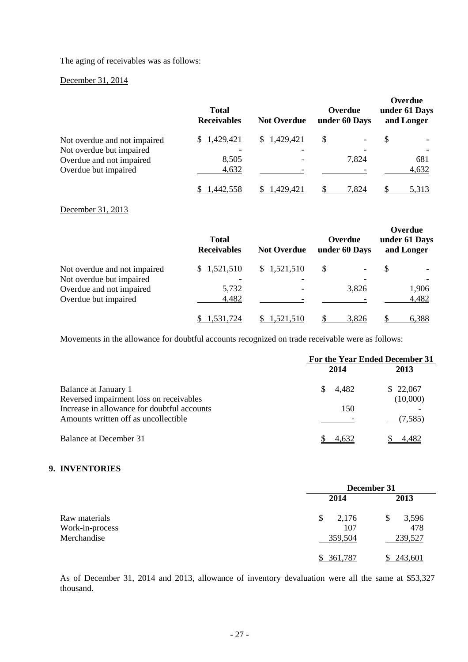The aging of receivables was as follows:

# December 31, 2014

|                              | <b>Total</b><br><b>Receivables</b> | <b>Not Overdue</b>       | Overdue<br>under 60 Days | Overdue<br>under 61 Days<br>and Longer |
|------------------------------|------------------------------------|--------------------------|--------------------------|----------------------------------------|
| Not overdue and not impaired | \$1,429,421                        | \$1,429,421              | S                        | S                                      |
| Not overdue but impaired     |                                    | $\overline{\phantom{a}}$ |                          |                                        |
| Overdue and not impaired     | 8,505                              |                          | 7,824                    | 681                                    |
| Overdue but impaired         | 4,632                              |                          |                          | 4,632                                  |
|                              | .442.558                           | .429.421                 | 7.824                    | 5.313                                  |

## December 31, 2013

|                              | <b>Total</b><br><b>Receivables</b> | <b>Not Overdue</b> | Overdue<br>under 60 Days | Overdue<br>under 61 Days<br>and Longer |
|------------------------------|------------------------------------|--------------------|--------------------------|----------------------------------------|
| Not overdue and not impaired | \$1,521,510                        | \$1,521,510        | S                        | \$.                                    |
| Not overdue but impaired     |                                    |                    |                          |                                        |
| Overdue and not impaired     | 5,732                              | -                  | 3,826                    | 1,906                                  |
| Overdue but impaired         | 4,482                              |                    |                          | 4,482                                  |
|                              | 1.531.724                          | 1.521.510          | 3.826                    | 6,388                                  |

Movements in the allowance for doubtful accounts recognized on trade receivable were as follows:

|                                                                                                                                                        | For the Year Ended December 31 |                                 |
|--------------------------------------------------------------------------------------------------------------------------------------------------------|--------------------------------|---------------------------------|
|                                                                                                                                                        | 2014                           | 2013                            |
| Balance at January 1<br>Reversed impairment loss on receivables<br>Increase in allowance for doubtful accounts<br>Amounts written off as uncollectible | 4,482<br><sup>S</sup><br>150   | \$22,067<br>(10,000)<br>(7.585) |
| Balance at December 31                                                                                                                                 |                                |                                 |

# **9. INVENTORIES**

|                 | December 31 |            |
|-----------------|-------------|------------|
|                 | 2014        | 2013       |
| Raw materials   | \$<br>2,176 | 3,596<br>S |
| Work-in-process | 107         | 478        |
| Merchandise     | 359,504     | 239,527    |
|                 | \$361,787   | 243,601    |

As of December 31, 2014 and 2013, allowance of inventory devaluation were all the same at \$53,327 thousand.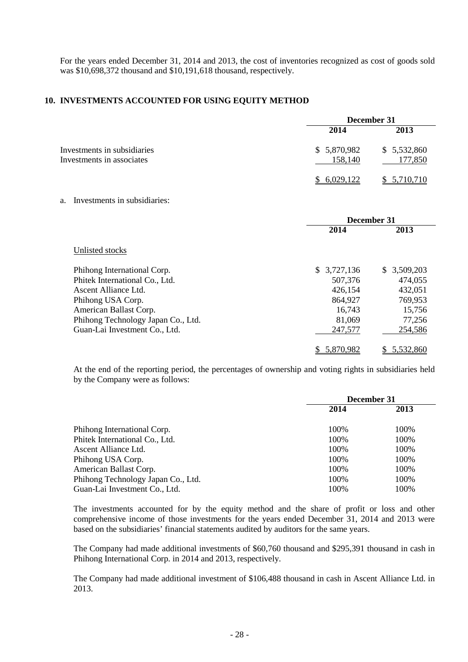For the years ended December 31, 2014 and 2013, the cost of inventories recognized as cost of goods sold was \$10,698,372 thousand and \$10,191,618 thousand, respectively.

# **10. INVESTMENTS ACCOUNTED FOR USING EQUITY METHOD**

|                                                          | December 31             |                        |
|----------------------------------------------------------|-------------------------|------------------------|
|                                                          | 2014                    | 2013                   |
| Investments in subsidiaries<br>Investments in associates | \$ 5,870,982<br>158,140 | \$5,532,860<br>177,850 |
|                                                          | 6.029.122               | 5,710,710              |

## a. Investments in subsidiaries:

|                                    | December 31     |                 |
|------------------------------------|-----------------|-----------------|
|                                    | 2014            | 2013            |
| Unlisted stocks                    |                 |                 |
| Phihong International Corp.        | 3,727,136<br>S. | S.<br>3,509,203 |
| Phitek International Co., Ltd.     | 507,376         | 474,055         |
| Ascent Alliance Ltd.               | 426,154         | 432,051         |
| Phihong USA Corp.                  | 864,927         | 769,953         |
| American Ballast Corp.             | 16,743          | 15,756          |
| Phihong Technology Japan Co., Ltd. | 81,069          | 77,256          |
| Guan-Lai Investment Co., Ltd.      | 247,577         | 254,586         |
|                                    | 5,870,982       | 5.532.860       |

At the end of the reporting period, the percentages of ownership and voting rights in subsidiaries held by the Company were as follows:

|                                    | December 31 |       |
|------------------------------------|-------------|-------|
|                                    | 2014        | 2013  |
| Phihong International Corp.        | 100\%       | 100%  |
| Phitek International Co., Ltd.     | 100\%       | 100%  |
| Ascent Alliance Ltd.               | 100\%       | 100\% |
| Phihong USA Corp.                  | 100\%       | 100%  |
| American Ballast Corp.             | 100%        | 100%  |
| Phihong Technology Japan Co., Ltd. | 100\%       | 100%  |
| Guan-Lai Investment Co., Ltd.      | 100\%       | 100%  |

The investments accounted for by the equity method and the share of profit or loss and other comprehensive income of those investments for the years ended December 31, 2014 and 2013 were based on the subsidiaries' financial statements audited by auditors for the same years.

The Company had made additional investments of \$60,760 thousand and \$295,391 thousand in cash in Phihong International Corp. in 2014 and 2013, respectively.

The Company had made additional investment of \$106,488 thousand in cash in Ascent Alliance Ltd. in 2013.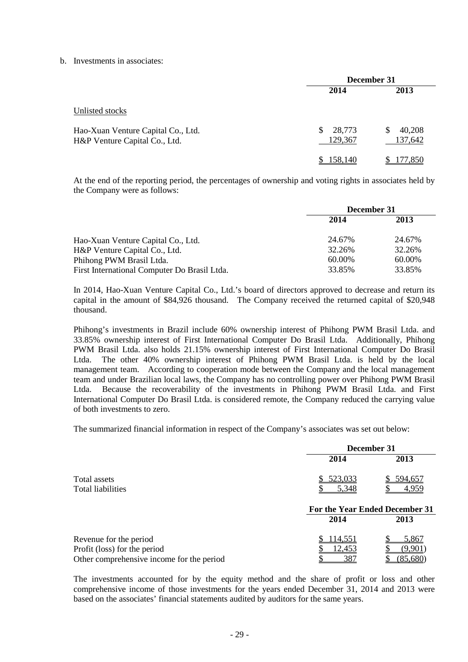#### b. Investments in associates:

|                                                                     | December 31            |                        |
|---------------------------------------------------------------------|------------------------|------------------------|
|                                                                     | 2014                   | 2013                   |
| Unlisted stocks                                                     |                        |                        |
| Hao-Xuan Venture Capital Co., Ltd.<br>H&P Venture Capital Co., Ltd. | 28,773<br>S<br>129,367 | 40,208<br>S<br>137,642 |
|                                                                     | \$158,140              | 177,850                |

At the end of the reporting period, the percentages of ownership and voting rights in associates held by the Company were as follows:

|                                              | December 31 |        |
|----------------------------------------------|-------------|--------|
|                                              | 2014        | 2013   |
| Hao-Xuan Venture Capital Co., Ltd.           | 24.67%      | 24.67% |
| H&P Venture Capital Co., Ltd.                | 32.26%      | 32.26% |
| Phihong PWM Brasil Ltda.                     | 60.00%      | 60.00% |
| First International Computer Do Brasil Ltda. | 33.85%      | 33.85% |

In 2014, Hao-Xuan Venture Capital Co., Ltd.'s board of directors approved to decrease and return its capital in the amount of \$84,926 thousand. The Company received the returned capital of \$20,948 thousand.

Phihong's investments in Brazil include 60% ownership interest of Phihong PWM Brasil Ltda. and 33.85% ownership interest of First International Computer Do Brasil Ltda. Additionally, Phihong PWM Brasil Ltda. also holds 21.15% ownership interest of First International Computer Do Brasil Ltda. The other 40% ownership interest of Phihong PWM Brasil Ltda. is held by the local management team. According to cooperation mode between the Company and the local management team and under Brazilian local laws, the Company has no controlling power over Phihong PWM Brasil Ltda. Because the recoverability of the investments in Phihong PWM Brasil Ltda. and First International Computer Do Brasil Ltda. is considered remote, the Company reduced the carrying value of both investments to zero.

The summarized financial information in respect of the Company's associates was set out below:

|                                           | December 31   |                                |
|-------------------------------------------|---------------|--------------------------------|
|                                           | 2014          | 2013                           |
| Total assets                              | 523,033       | 594,657                        |
| Total liabilities                         | 5,348         | 4,959                          |
|                                           |               | For the Year Ended December 31 |
|                                           | 2014          | 2013                           |
| Revenue for the period                    | 114,551       | 5,867                          |
| Profit (loss) for the period              | <u>12,453</u> | (9.901                         |
| Other comprehensive income for the period | 387           | (85,680)                       |

The investments accounted for by the equity method and the share of profit or loss and other comprehensive income of those investments for the years ended December 31, 2014 and 2013 were based on the associates' financial statements audited by auditors for the same years.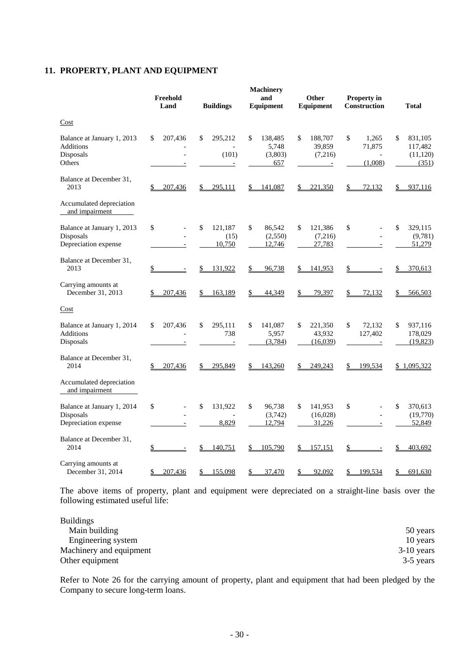# **11. PROPERTY, PLANT AND EQUIPMENT**

|                                                                       | Freehold<br>Land                          | <b>Buildings</b>                   | <b>Machinery</b><br>and<br>Equipment     | Other<br>Equipment                                             | Property in<br>Construction                  | <b>Total</b>                                   |
|-----------------------------------------------------------------------|-------------------------------------------|------------------------------------|------------------------------------------|----------------------------------------------------------------|----------------------------------------------|------------------------------------------------|
| Cost                                                                  |                                           |                                    |                                          |                                                                |                                              |                                                |
| Balance at January 1, 2013<br><b>Additions</b><br>Disposals<br>Others | 207,436<br>\$                             | 295,212<br>\$<br>(101)<br>$\equiv$ | \$<br>138,485<br>5,748<br>(3,803)<br>657 | \$<br>188,707<br>39,859<br>(7,216)<br>$\overline{\phantom{m}}$ | \$<br>1,265<br>71,875<br>$\equiv$<br>(1,008) | \$<br>831,105<br>117,482<br>(11, 120)<br>(351) |
| Balance at December 31,<br>2013                                       | 207,436                                   | 295,111                            | \$<br>141,087                            | \$<br>221,350                                                  | \$<br>72,132                                 | 937,116<br>\$                                  |
| Accumulated depreciation<br>and impairment                            |                                           |                                    |                                          |                                                                |                                              |                                                |
| Balance at January 1, 2013<br>Disposals<br>Depreciation expense       | \$<br>$\blacksquare$                      | \$<br>121,187<br>(15)<br>10,750    | \$<br>86,542<br>(2,550)<br>12,746        | \$<br>121,386<br>(7,216)<br>27,783                             | \$<br>$\overline{\phantom{a}}$               | \$<br>329,115<br>(9,781)<br>51,279             |
| Balance at December 31,<br>2013                                       | \$                                        | \$<br>131,922                      | \$<br>96,738                             | \$<br>141,953                                                  | \$                                           | \$<br>370,613                                  |
| Carrying amounts at<br>December 31, 2013                              | 207,436                                   | \$<br>163,189                      | \$<br>44,349                             | \$<br>79,397                                                   | \$<br><u>72,132</u>                          | \$<br>566,503                                  |
| Cost                                                                  |                                           |                                    |                                          |                                                                |                                              |                                                |
| Balance at January 1, 2014<br>Additions<br>Disposals                  | 207,436<br>\$<br>$\overline{\phantom{m}}$ | \$<br>295,111<br>738<br>$\equiv$   | \$<br>141,087<br>5,957<br>(3,784)        | 221,350<br>\$<br>43,932<br>(16,039)                            | \$<br>72,132<br>127,402                      | 937,116<br>\$<br>178,029<br>(19, 823)          |
| Balance at December 31,<br>2014                                       | 207,436<br>\$                             | 295,849<br>\$                      | 143,260<br>\$                            | 249,243<br>\$                                                  | 199,534<br>\$                                | \$1,095,322                                    |
| Accumulated depreciation<br>and impairment                            |                                           |                                    |                                          |                                                                |                                              |                                                |
| Balance at January 1, 2014<br>Disposals<br>Depreciation expense       | \$                                        | \$<br>131,922<br>8,829             | \$<br>96,738<br>(3,742)<br>12,794        | \$<br>141,953<br>(16,028)<br>31,226                            | \$<br>$\overline{\phantom{a}}$               | \$<br>370,613<br>(19,770)<br>52,849            |
| Balance at December 31,<br>2014                                       | \$                                        | \$<br>140,751                      | \$<br>105,790                            | 157,151                                                        | \$                                           | 403,692                                        |
| Carrying amounts at<br>December 31, 2014                              | \$<br>207,436                             | \$<br>155,098                      | \$<br>37,470                             | 92,092<br>\$                                                   | 199,534<br>\$                                | \$<br>691,630                                  |

The above items of property, plant and equipment were depreciated on a straight-line basis over the following estimated useful life:

| <b>Buildings</b>        |              |
|-------------------------|--------------|
| Main building           | 50 years     |
| Engineering system      | 10 years     |
| Machinery and equipment | $3-10$ years |
| Other equipment         | 3-5 years    |

Refer to Note 26 for the carrying amount of property, plant and equipment that had been pledged by the Company to secure long-term loans.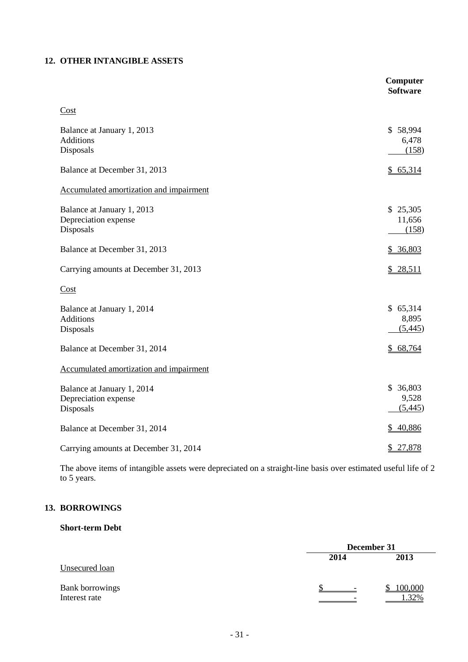# **12. OTHER INTANGIBLE ASSETS**

|                                                                 | Computer<br><b>Software</b>  |
|-----------------------------------------------------------------|------------------------------|
| Cost                                                            |                              |
| Balance at January 1, 2013<br><b>Additions</b><br>Disposals     | \$58,994<br>6,478<br>(158)   |
| Balance at December 31, 2013                                    | \$65,314                     |
| Accumulated amortization and impairment                         |                              |
| Balance at January 1, 2013<br>Depreciation expense<br>Disposals | \$25,305<br>11,656<br>(158)  |
| Balance at December 31, 2013                                    | \$36,803                     |
| Carrying amounts at December 31, 2013                           | \$28,511                     |
| Cost                                                            |                              |
| Balance at January 1, 2014<br><b>Additions</b><br>Disposals     | \$65,314<br>8,895<br>(5,445) |
| Balance at December 31, 2014                                    | \$68,764                     |
| Accumulated amortization and impairment                         |                              |
| Balance at January 1, 2014<br>Depreciation expense<br>Disposals | \$36,803<br>9,528<br>(5,445) |
| Balance at December 31, 2014                                    | \$40,886                     |
| Carrying amounts at December 31, 2014                           | \$ 27,878                    |

The above items of intangible assets were depreciated on a straight-line basis over estimated useful life of 2 to 5 years.

# **13. BORROWINGS**

# **Short-term Debt**

|                                  | December 31 |                 |  |
|----------------------------------|-------------|-----------------|--|
|                                  | 2014        | 2013            |  |
| Unsecured loan                   |             |                 |  |
| Bank borrowings<br>Interest rate |             | 100,000<br>.32% |  |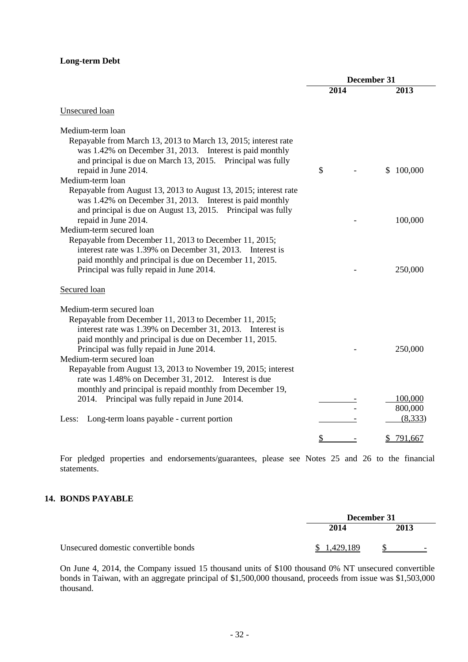# **Long-term Debt**

|                                                                                                                                                                                                                                                        | December 31 |      |    |         |
|--------------------------------------------------------------------------------------------------------------------------------------------------------------------------------------------------------------------------------------------------------|-------------|------|----|---------|
|                                                                                                                                                                                                                                                        |             | 2014 |    | 2013    |
| Unsecured loan                                                                                                                                                                                                                                         |             |      |    |         |
| Medium-term loan<br>Repayable from March 13, 2013 to March 13, 2015; interest rate<br>was 1.42% on December 31, 2013. Interest is paid monthly                                                                                                         |             |      |    |         |
| and principal is due on March 13, 2015. Principal was fully<br>repaid in June 2014.                                                                                                                                                                    | \$          |      | S  | 100,000 |
| Medium-term loan                                                                                                                                                                                                                                       |             |      |    |         |
| Repayable from August 13, 2013 to August 13, 2015; interest rate<br>was 1.42% on December 31, 2013. Interest is paid monthly<br>and principal is due on August 13, 2015. Principal was fully                                                           |             |      |    |         |
| repaid in June 2014.                                                                                                                                                                                                                                   |             |      |    | 100,000 |
| Medium-term secured loan                                                                                                                                                                                                                               |             |      |    |         |
| Repayable from December 11, 2013 to December 11, 2015;<br>interest rate was 1.39% on December 31, 2013. Interest is<br>paid monthly and principal is due on December 11, 2015.<br>Principal was fully repaid in June 2014.                             |             |      |    | 250,000 |
| Secured loan                                                                                                                                                                                                                                           |             |      |    |         |
| Medium-term secured loan<br>Repayable from December 11, 2013 to December 11, 2015;<br>interest rate was 1.39% on December 31, 2013. Interest is<br>paid monthly and principal is due on December 11, 2015.<br>Principal was fully repaid in June 2014. |             |      |    | 250,000 |
| Medium-term secured loan                                                                                                                                                                                                                               |             |      |    |         |
| Repayable from August 13, 2013 to November 19, 2015; interest<br>rate was 1.48% on December 31, 2012. Interest is due<br>monthly and principal is repaid monthly from December 19,                                                                     |             |      |    |         |
| 2014. Principal was fully repaid in June 2014.                                                                                                                                                                                                         |             |      |    | 100,000 |
|                                                                                                                                                                                                                                                        |             |      |    | 800,000 |
| Long-term loans payable - current portion<br>Less:                                                                                                                                                                                                     |             |      |    | (8,333) |
|                                                                                                                                                                                                                                                        | \$          |      | S. | 791,667 |

For pledged properties and endorsements/guarantees, please see Notes 25 and 26 to the financial statements.

# **14. BONDS PAYABLE**

|                                      | December 31 |      |
|--------------------------------------|-------------|------|
|                                      | 2014        | 2013 |
| Unsecured domestic convertible bonds | \$1,429,189 |      |

On June 4, 2014, the Company issued 15 thousand units of \$100 thousand 0% NT unsecured convertible bonds in Taiwan, with an aggregate principal of \$1,500,000 thousand, proceeds from issue was \$1,503,000 thousand.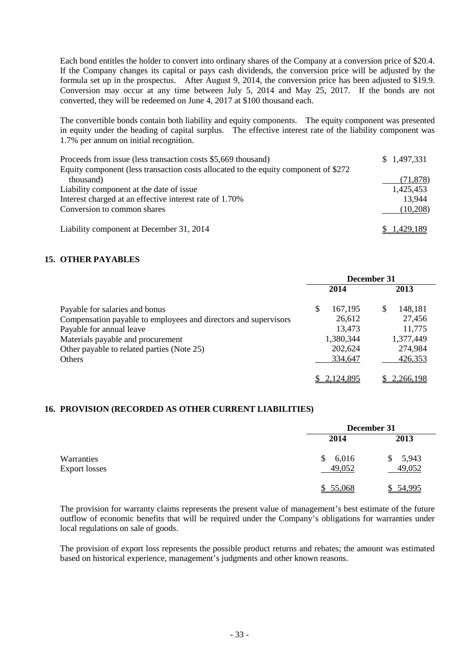Each bond entitles the holder to convert into ordinary shares of the Company at a conversion price of \$20.4. If the Company changes its capital or pays cash dividends, the conversion price will be adjusted by the formula set up in the prospectus. After August 9, 2014, the conversion price has been adjusted to \$19.9. Conversion may occur at any time between July 5, 2014 and May 25, 2017. If the bonds are not converted, they will be redeemed on June 4, 2017 at \$100 thousand each.

The convertible bonds contain both liability and equity components. The equity component was presented in equity under the heading of capital surplus. The effective interest rate of the liability component was 1.7% per annum on initial recognition.

| Proceeds from issue (less transaction costs \$5,669 thousand)<br>Equity component (less transaction costs allocated to the equity component of \$272 | \$1,497,331 |
|------------------------------------------------------------------------------------------------------------------------------------------------------|-------------|
| thousand)                                                                                                                                            | (71, 878)   |
| Liability component at the date of issue                                                                                                             | 1,425,453   |
| Interest charged at an effective interest rate of 1.70%                                                                                              | 13.944      |
| Conversion to common shares                                                                                                                          | (10,208)    |
|                                                                                                                                                      |             |
| Liability component at December 31, 2014                                                                                                             | 1.429.189   |

# **15. OTHER PAYABLES**

|                                                                 | December 31 |           |   |           |
|-----------------------------------------------------------------|-------------|-----------|---|-----------|
|                                                                 |             | 2014      |   | 2013      |
| Payable for salaries and bonus                                  | S           | 167,195   | S | 148,181   |
| Compensation payable to employees and directors and supervisors |             | 26,612    |   | 27,456    |
| Payable for annual leave                                        |             | 13,473    |   | 11,775    |
| Materials payable and procurement                               |             | 1,380,344 |   | 1,377,449 |
| Other payable to related parties (Note 25)                      |             | 202,624   |   | 274,984   |
| Others                                                          |             | 334,647   |   | 426,353   |
|                                                                 |             | 2.124.895 |   | 2.266.198 |

# **16. PROVISION (RECORDED AS OTHER CURRENT LIABILITIES)**

|                             |                       | December 31     |  |  |
|-----------------------------|-----------------------|-----------------|--|--|
|                             | 2014                  | 2013            |  |  |
| Warranties<br>Export losses | 6,016<br>\$<br>49,052 | 5,943<br>49,052 |  |  |
|                             | \$55,068              | \$54,995        |  |  |

The provision for warranty claims represents the present value of management's best estimate of the future outflow of economic benefits that will be required under the Company's obligations for warranties under local regulations on sale of goods.

The provision of export loss represents the possible product returns and rebates; the amount was estimated based on historical experience, management's judgments and other known reasons.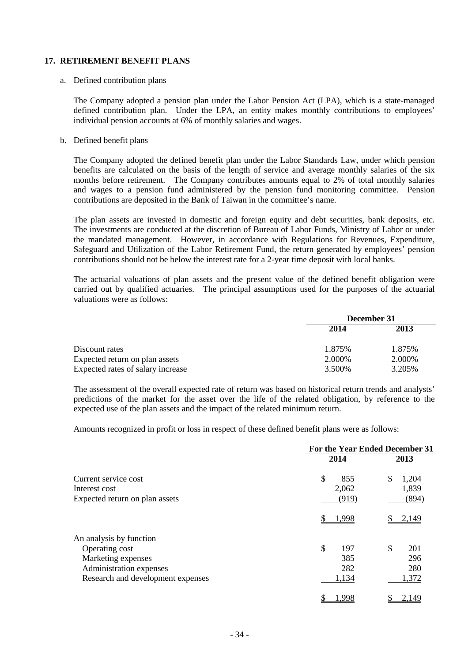# **17. RETIREMENT BENEFIT PLANS**

#### a. Defined contribution plans

The Company adopted a pension plan under the Labor Pension Act (LPA), which is a state-managed defined contribution plan. Under the LPA, an entity makes monthly contributions to employees' individual pension accounts at 6% of monthly salaries and wages.

#### b. Defined benefit plans

The Company adopted the defined benefit plan under the Labor Standards Law, under which pension benefits are calculated on the basis of the length of service and average monthly salaries of the six months before retirement. The Company contributes amounts equal to 2% of total monthly salaries and wages to a pension fund administered by the pension fund monitoring committee. Pension contributions are deposited in the Bank of Taiwan in the committee's name.

The plan assets are invested in domestic and foreign equity and debt securities, bank deposits, etc. The investments are conducted at the discretion of Bureau of Labor Funds, Ministry of Labor or under the mandated management. However, in accordance with Regulations for Revenues, Expenditure, Safeguard and Utilization of the Labor Retirement Fund, the return generated by employees' pension contributions should not be below the interest rate for a 2-year time deposit with local banks.

The actuarial valuations of plan assets and the present value of the defined benefit obligation were carried out by qualified actuaries. The principal assumptions used for the purposes of the actuarial valuations were as follows:

|                                   | December 31 |         |  |
|-----------------------------------|-------------|---------|--|
|                                   | 2014        | 2013    |  |
| Discount rates                    | 1.875%      | 1.875%  |  |
| Expected return on plan assets    | 2.000\%     | 2.000\% |  |
| Expected rates of salary increase | 3.500\%     | 3.205%  |  |

The assessment of the overall expected rate of return was based on historical return trends and analysts' predictions of the market for the asset over the life of the related obligation, by reference to the expected use of the plan assets and the impact of the related minimum return.

Amounts recognized in profit or loss in respect of these defined benefit plans were as follows:

|                                   | For the Year Ended December 31 |             |
|-----------------------------------|--------------------------------|-------------|
|                                   | 2014                           | 2013        |
| Current service cost              | $\mathcal{S}$<br>855           | \$<br>1,204 |
| Interest cost                     | 2,062                          | 1,839       |
| Expected return on plan assets    | (919)                          | (894)       |
|                                   | 1,998                          | 2,149       |
| An analysis by function           |                                |             |
| Operating cost                    | \$<br>197                      | \$<br>201   |
| Marketing expenses                | 385                            | 296         |
| Administration expenses           | 282                            | 280         |
| Research and development expenses | 1,134                          | 1,372       |
|                                   | .998                           | 2,149       |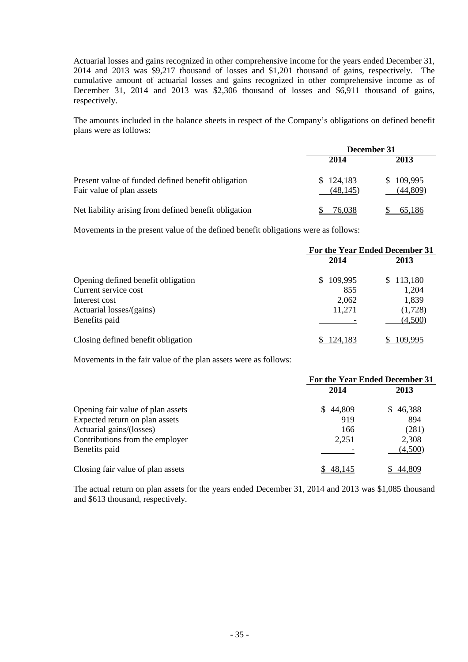Actuarial losses and gains recognized in other comprehensive income for the years ended December 31, 2014 and 2013 was \$9,217 thousand of losses and \$1,201 thousand of gains, respectively. The cumulative amount of actuarial losses and gains recognized in other comprehensive income as of December 31, 2014 and 2013 was \$2,306 thousand of losses and \$6,911 thousand of gains, respectively.

The amounts included in the balance sheets in respect of the Company's obligations on defined benefit plans were as follows:

|                                                                                 | December 31            |                       |  |
|---------------------------------------------------------------------------------|------------------------|-----------------------|--|
|                                                                                 | 2014                   | 2013                  |  |
| Present value of funded defined benefit obligation<br>Fair value of plan assets | \$124,183<br>(48, 145) | \$109,995<br>(44,809) |  |
| Net liability arising from defined benefit obligation                           | 76,038                 | 65.186                |  |

Movements in the present value of the defined benefit obligations were as follows:

|                                    | For the Year Ended December 31 |                |  |
|------------------------------------|--------------------------------|----------------|--|
|                                    | 2014                           | 2013           |  |
| Opening defined benefit obligation | 109,995<br>S.                  | 113,180<br>\$. |  |
| Current service cost               | 855                            | 1,204          |  |
| Interest cost                      | 2,062                          | 1,839          |  |
| Actuarial losses/(gains)           | 11,271                         | (1,728)        |  |
| Benefits paid                      |                                | (4,500)        |  |
| Closing defined benefit obligation | 124,183                        | 109,995        |  |

Movements in the fair value of the plan assets were as follows:

|                                   | For the Year Ended December 31 |          |  |
|-----------------------------------|--------------------------------|----------|--|
|                                   | 2014                           | 2013     |  |
| Opening fair value of plan assets | \$44,809                       | \$46,388 |  |
| Expected return on plan assets    | 919                            | 894      |  |
| Actuarial gains/(losses)          | 166                            | (281)    |  |
| Contributions from the employer   | 2,251                          | 2,308    |  |
| Benefits paid                     |                                | (4,500)  |  |
| Closing fair value of plan assets | 48.145                         | 44,809   |  |

The actual return on plan assets for the years ended December 31, 2014 and 2013 was \$1,085 thousand and \$613 thousand, respectively.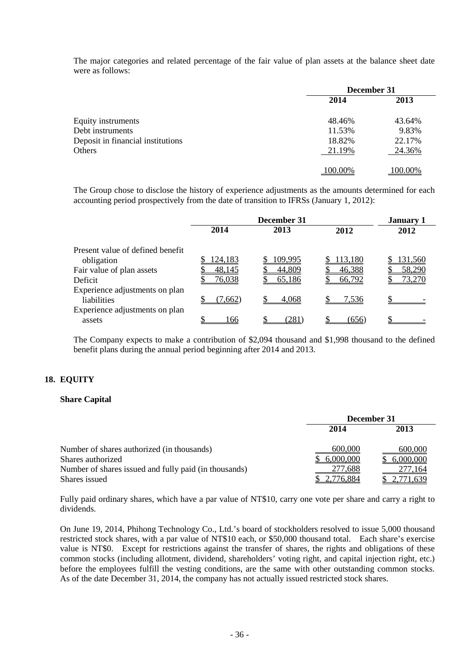The major categories and related percentage of the fair value of plan assets at the balance sheet date were as follows:

|                                   | December 31 |                |
|-----------------------------------|-------------|----------------|
|                                   | 2014        | 2013           |
| Equity instruments                | 48.46%      | 43.64%         |
| Debt instruments                  | 11.53%      | 9.83%          |
| Deposit in financial institutions | 18.82%      | 22.17%         |
| Others                            | 21.19%      | 24.36%         |
|                                   | 100.00%     | <u>100.00%</u> |

The Group chose to disclose the history of experience adjustments as the amounts determined for each accounting period prospectively from the date of transition to IFRSs (January 1, 2012):

|                                  | December 31    |                |                | <b>January 1</b> |
|----------------------------------|----------------|----------------|----------------|------------------|
|                                  | 2014           | 2013           | 2012           | 2012             |
| Present value of defined benefit |                |                |                |                  |
| obligation                       | <u>124,183</u> | <u>109,995</u> | <u>113,180</u> | <u>131,560</u>   |
| Fair value of plan assets        | 48,145         | 44,809         | 46,388         | 58,290           |
| Deficit                          | 76,038         | 65,186         | 66,792         | 73,270           |
| Experience adjustments on plan   |                |                |                |                  |
| liabilities                      | (7,662)        | 4,068          | <u>7.536</u>   |                  |
| Experience adjustments on plan   |                |                |                |                  |
| assets                           | Φ<br>166       | (281)          | (656)          |                  |

The Company expects to make a contribution of \$2,094 thousand and \$1,998 thousand to the defined benefit plans during the annual period beginning after 2014 and 2013.

# **18. EQUITY**

## **Share Capital**

|                                                                        | December 31          |                             |
|------------------------------------------------------------------------|----------------------|-----------------------------|
|                                                                        | 2014                 | 2013                        |
| Number of shares authorized (in thousands)<br>Shares authorized        | 600,000<br>6,000,000 | 600,000<br>6,000,000        |
| Number of shares issued and fully paid (in thousands)<br>Shares issued | 277,688              | <u>277,164</u><br>2.771.639 |

Fully paid ordinary shares, which have a par value of NT\$10, carry one vote per share and carry a right to dividends.

On June 19, 2014, Phihong Technology Co., Ltd.'s board of stockholders resolved to issue 5,000 thousand restricted stock shares, with a par value of NT\$10 each, or \$50,000 thousand total. Each share's exercise value is NT\$0. Except for restrictions against the transfer of shares, the rights and obligations of these common stocks (including allotment, dividend, shareholders' voting right, and capital injection right, etc.) before the employees fulfill the vesting conditions, are the same with other outstanding common stocks. As of the date December 31, 2014, the company has not actually issued restricted stock shares.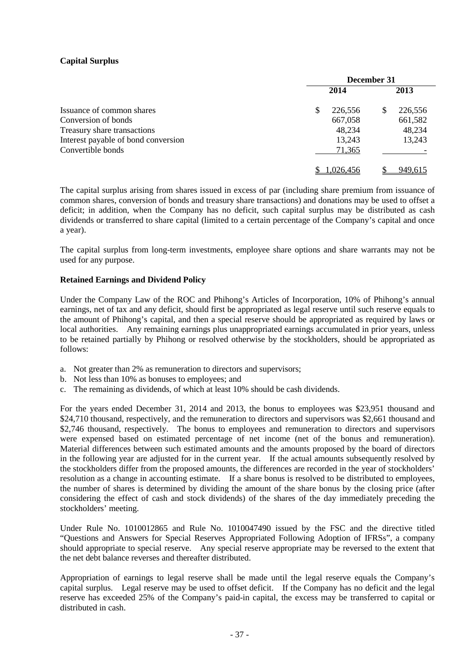# **Capital Surplus**

|                                     | December 31  |         |  |
|-------------------------------------|--------------|---------|--|
|                                     | 2014         | 2013    |  |
| Issuance of common shares           | S<br>226,556 | 226,556 |  |
| Conversion of bonds                 | 667,058      | 661,582 |  |
| Treasury share transactions         | 48,234       | 48,234  |  |
| Interest payable of bond conversion | 13,243       | 13,243  |  |
| Convertible bonds                   | 71,365       |         |  |
|                                     | 1.026.456    | 949,615 |  |

The capital surplus arising from shares issued in excess of par (including share premium from issuance of common shares, conversion of bonds and treasury share transactions) and donations may be used to offset a deficit; in addition, when the Company has no deficit, such capital surplus may be distributed as cash dividends or transferred to share capital (limited to a certain percentage of the Company's capital and once a year).

The capital surplus from long-term investments, employee share options and share warrants may not be used for any purpose.

# **Retained Earnings and Dividend Policy**

Under the Company Law of the ROC and Phihong's Articles of Incorporation, 10% of Phihong's annual earnings, net of tax and any deficit, should first be appropriated as legal reserve until such reserve equals to the amount of Phihong's capital, and then a special reserve should be appropriated as required by laws or local authorities. Any remaining earnings plus unappropriated earnings accumulated in prior years, unless to be retained partially by Phihong or resolved otherwise by the stockholders, should be appropriated as follows:

- a. Not greater than 2% as remuneration to directors and supervisors;
- b. Not less than 10% as bonuses to employees; and
- c. The remaining as dividends, of which at least 10% should be cash dividends.

For the years ended December 31, 2014 and 2013, the bonus to employees was \$23,951 thousand and \$24,710 thousand, respectively, and the remuneration to directors and supervisors was \$2,661 thousand and \$2,746 thousand, respectively. The bonus to employees and remuneration to directors and supervisors were expensed based on estimated percentage of net income (net of the bonus and remuneration). Material differences between such estimated amounts and the amounts proposed by the board of directors in the following year are adjusted for in the current year. If the actual amounts subsequently resolved by the stockholders differ from the proposed amounts, the differences are recorded in the year of stockholders' resolution as a change in accounting estimate. If a share bonus is resolved to be distributed to employees, the number of shares is determined by dividing the amount of the share bonus by the closing price (after considering the effect of cash and stock dividends) of the shares of the day immediately preceding the stockholders' meeting.

Under Rule No. 1010012865 and Rule No. 1010047490 issued by the FSC and the directive titled "Questions and Answers for Special Reserves Appropriated Following Adoption of IFRSs", a company should appropriate to special reserve. Any special reserve appropriate may be reversed to the extent that the net debt balance reverses and thereafter distributed.

Appropriation of earnings to legal reserve shall be made until the legal reserve equals the Company's capital surplus. Legal reserve may be used to offset deficit. If the Company has no deficit and the legal reserve has exceeded 25% of the Company's paid-in capital, the excess may be transferred to capital or distributed in cash.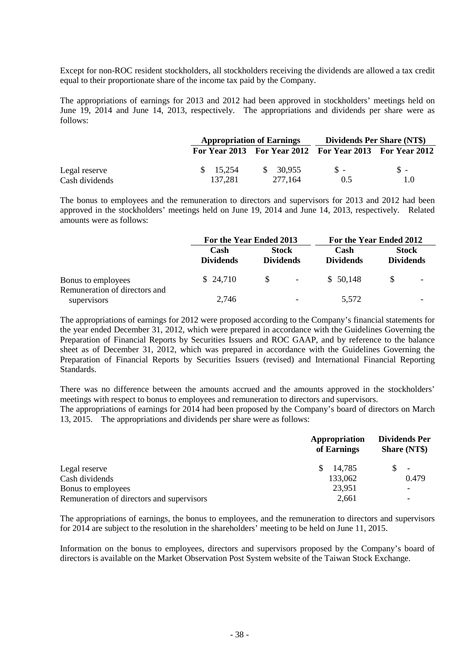Except for non-ROC resident stockholders, all stockholders receiving the dividends are allowed a tax credit equal to their proportionate share of the income tax paid by the Company.

The appropriations of earnings for 2013 and 2012 had been approved in stockholders' meetings held on June 19, 2014 and June 14, 2013, respectively. The appropriations and dividends per share were as follows:

|                |           | <b>Appropriation of Earnings</b> |                                                         | <b>Dividends Per Share (NT\$)</b> |
|----------------|-----------|----------------------------------|---------------------------------------------------------|-----------------------------------|
|                |           |                                  | For Year 2013 For Year 2012 For Year 2013 For Year 2012 |                                   |
| Legal reserve  | \$ 15.254 | \$ 30.955                        | $S -$                                                   | $S -$                             |
| Cash dividends | 137.281   | 277.164                          | 0.5                                                     | 1.0                               |

The bonus to employees and the remuneration to directors and supervisors for 2013 and 2012 had been approved in the stockholders' meetings held on June 19, 2014 and June 14, 2013, respectively. Related amounts were as follows:

|                                              | For the Year Ended 2013  |                                  | For the Year Ended 2012 |                          |                                  |  |
|----------------------------------------------|--------------------------|----------------------------------|-------------------------|--------------------------|----------------------------------|--|
|                                              | Cash<br><b>Dividends</b> | <b>Stock</b><br><b>Dividends</b> |                         | Cash<br><b>Dividends</b> | <b>Stock</b><br><b>Dividends</b> |  |
| Bonus to employees                           | \$24,710                 | $\mathbb{S}$                     | $\sim$                  | \$ 50,148                | -S                               |  |
| Remuneration of directors and<br>supervisors | 2.746                    |                                  |                         | 5,572                    |                                  |  |

The appropriations of earnings for 2012 were proposed according to the Company's financial statements for the year ended December 31, 2012, which were prepared in accordance with the Guidelines Governing the Preparation of Financial Reports by Securities Issuers and ROC GAAP, and by reference to the balance sheet as of December 31, 2012, which was prepared in accordance with the Guidelines Governing the Preparation of Financial Reports by Securities Issuers (revised) and International Financial Reporting Standards.

There was no difference between the amounts accrued and the amounts approved in the stockholders' meetings with respect to bonus to employees and remuneration to directors and supervisors.

The appropriations of earnings for 2014 had been proposed by the Company's board of directors on March 13, 2015. The appropriations and dividends per share were as follows:

| Appropriation<br>of Earnings | <b>Dividends Per</b><br><b>Share (NT\$)</b> |
|------------------------------|---------------------------------------------|
| 14,785<br>S.                 |                                             |
| 133,062                      | 0.479                                       |
| 23,951                       |                                             |
| 2,661                        |                                             |
|                              |                                             |

The appropriations of earnings, the bonus to employees, and the remuneration to directors and supervisors for 2014 are subject to the resolution in the shareholders' meeting to be held on June 11, 2015.

Information on the bonus to employees, directors and supervisors proposed by the Company's board of directors is available on the Market Observation Post System website of the Taiwan Stock Exchange.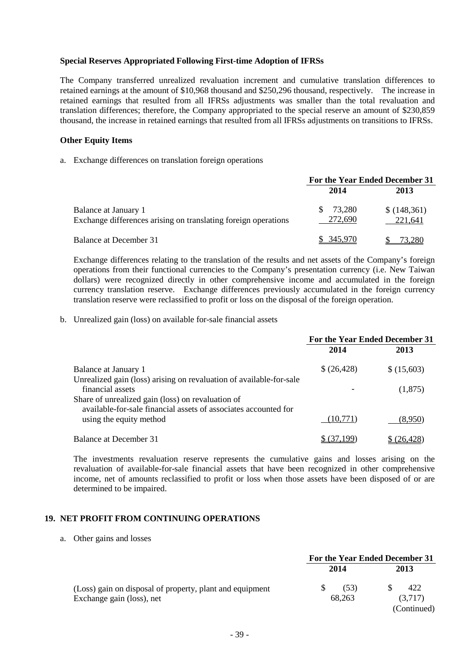# **Special Reserves Appropriated Following First-time Adoption of IFRSs**

The Company transferred unrealized revaluation increment and cumulative translation differences to retained earnings at the amount of \$10,968 thousand and \$250,296 thousand, respectively. The increase in retained earnings that resulted from all IFRSs adjustments was smaller than the total revaluation and translation differences; therefore, the Company appropriated to the special reserve an amount of \$230,859 thousand, the increase in retained earnings that resulted from all IFRSs adjustments on transitions to IFRSs.

#### **Other Equity Items**

a. Exchange differences on translation foreign operations

|                                                                                        | For the Year Ended December 31 |                        |
|----------------------------------------------------------------------------------------|--------------------------------|------------------------|
|                                                                                        | 2014                           | 2013                   |
| Balance at January 1<br>Exchange differences arising on translating foreign operations | 73.280<br>272,690              | \$(148,361)<br>221,641 |
| Balance at December 31                                                                 | \$345.970                      | 73.280                 |

Exchange differences relating to the translation of the results and net assets of the Company's foreign operations from their functional currencies to the Company's presentation currency (i.e. New Taiwan dollars) were recognized directly in other comprehensive income and accumulated in the foreign currency translation reserve. Exchange differences previously accumulated in the foreign currency translation reserve were reclassified to profit or loss on the disposal of the foreign operation.

b. Unrealized gain (loss) on available for-sale financial assets

|                                                                                                                                              | For the Year Ended December 31 |             |
|----------------------------------------------------------------------------------------------------------------------------------------------|--------------------------------|-------------|
|                                                                                                                                              | 2014                           | 2013        |
| <b>Balance at January 1</b>                                                                                                                  | \$(26,428)                     | \$ (15,603) |
| Unrealized gain (loss) arising on revaluation of available-for-sale<br>financial assets<br>Share of unrealized gain (loss) on revaluation of |                                | (1,875)     |
| available-for-sale financial assets of associates accounted for<br>using the equity method                                                   | (10,771)                       | (8,950)     |
| Balance at December 31                                                                                                                       | 37 199                         | (26, 428)   |

The investments revaluation reserve represents the cumulative gains and losses arising on the revaluation of available-for-sale financial assets that have been recognized in other comprehensive income, net of amounts reclassified to profit or loss when those assets have been disposed of or are determined to be impaired.

# **19. NET PROFIT FROM CONTINUING OPERATIONS**

a. Other gains and losses

|                                                                                       |                | For the Year Ended December 31 |
|---------------------------------------------------------------------------------------|----------------|--------------------------------|
|                                                                                       | 2014           | 2013                           |
| (Loss) gain on disposal of property, plant and equipment<br>Exchange gain (loss), net | (53)<br>68,263 | 422<br>(3,717)                 |
|                                                                                       |                | (Continued)                    |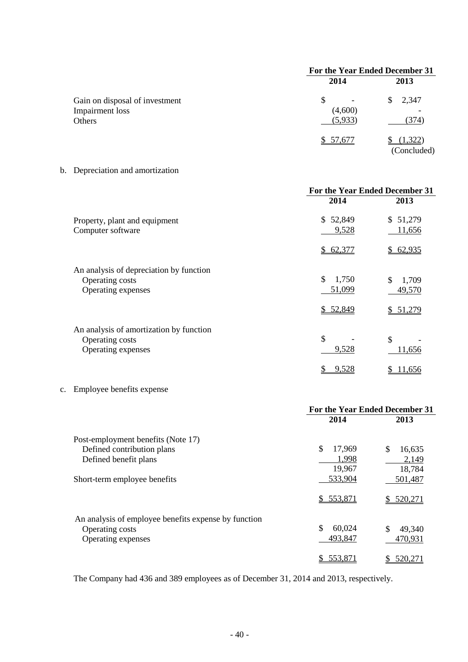|                                                             | For the Year Ended December 31 |                        |
|-------------------------------------------------------------|--------------------------------|------------------------|
|                                                             | 2014                           | 2013                   |
| Gain on disposal of investment<br>Impairment loss<br>Others | \$.<br>(4,600)<br>(5,933)      | 2,347<br>S.<br>(374)   |
|                                                             | \$57,677                       | (1,322)<br>(Concluded) |

b. Depreciation and amortization

|                                                                                  | For the Year Ended December 31    |                                   |
|----------------------------------------------------------------------------------|-----------------------------------|-----------------------------------|
|                                                                                  | 2014                              | 2013                              |
| Property, plant and equipment<br>Computer software                               | 52,849<br>\$.<br>9,528            | \$51,279<br>11,656                |
|                                                                                  | 62,377<br>$\mathbb{S}^-$          | 62,935<br>S.                      |
| An analysis of depreciation by function<br>Operating costs<br>Operating expenses | \$<br>1,750<br>51,099<br>\$52,849 | \$<br>1,709<br>49,570<br>\$51,279 |
| An analysis of amortization by function                                          |                                   |                                   |
| Operating costs                                                                  | \$                                | \$                                |
| Operating expenses                                                               | 9,528                             | 11,656                            |
|                                                                                  | 9,528                             | <u>11,656</u>                     |

# c. Employee benefits expense

|                                                      | For the Year Ended December 31 |                |
|------------------------------------------------------|--------------------------------|----------------|
|                                                      | 2014                           | 2013           |
| Post-employment benefits (Note 17)                   |                                |                |
| Defined contribution plans                           | \$<br>17,969                   | \$<br>16,635   |
| Defined benefit plans                                | 1,998                          | 2,149          |
|                                                      | 19,967                         | 18,784         |
| Short-term employee benefits                         | 533,904                        | 501,487        |
|                                                      | \$553,871                      | \$520,271      |
| An analysis of employee benefits expense by function |                                |                |
| Operating costs                                      | \$<br>60,024                   | \$<br>49,340   |
| Operating expenses                                   | 493,847                        | 470,931        |
|                                                      | 553,871                        | <u>520,271</u> |

The Company had 436 and 389 employees as of December 31, 2014 and 2013, respectively.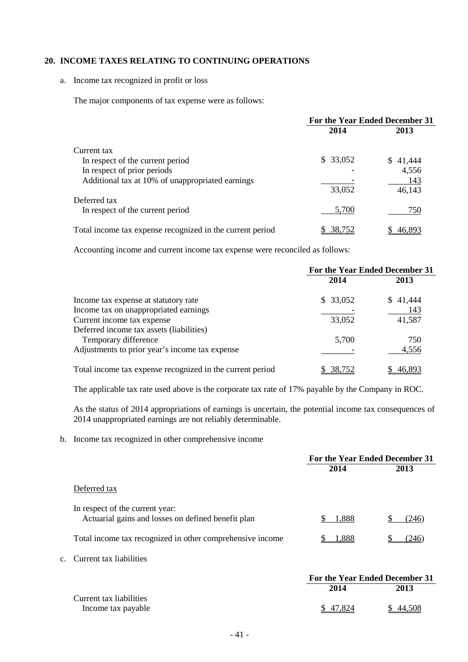# **20. INCOME TAXES RELATING TO CONTINUING OPERATIONS**

a. Income tax recognized in profit or loss

The major components of tax expense were as follows:

|                                                           | For the Year Ended December 31 |              |
|-----------------------------------------------------------|--------------------------------|--------------|
|                                                           | 2014                           | 2013         |
| Current tax                                               |                                |              |
| In respect of the current period                          | \$33,052                       | S.<br>41,444 |
| In respect of prior periods                               |                                | 4,556        |
| Additional tax at 10% of unappropriated earnings          |                                | 143          |
|                                                           | 33,052                         | 46,143       |
| Deferred tax                                              |                                |              |
| In respect of the current period                          | 5,700                          | 750          |
| Total income tax expense recognized in the current period | 38.752                         | 46,895       |

Accounting income and current income tax expense were reconciled as follows:

|                                                           | For the Year Ended December 31 |          |
|-----------------------------------------------------------|--------------------------------|----------|
|                                                           | 2014                           | 2013     |
| Income tax expense at statutory rate                      | \$33,052                       | \$41,444 |
| Income tax on unappropriated earnings                     |                                | 143      |
| Current income tax expense                                | 33,052                         | 41,587   |
| Deferred income tax assets (liabilities)                  |                                |          |
| Temporary difference                                      | 5,700                          | 750      |
| Adjustments to prior year's income tax expense            |                                | 4,556    |
| Total income tax expense recognized in the current period | 38,752                         | 46,893   |

The applicable tax rate used above is the corporate tax rate of 17% payable by the Company in ROC.

As the status of 2014 appropriations of earnings is uncertain, the potential income tax consequences of 2014 unappropriated earnings are not reliably determinable.

b. Income tax recognized in other comprehensive income

|                                                                                       | For the Year Ended December 31 |       |
|---------------------------------------------------------------------------------------|--------------------------------|-------|
|                                                                                       | 2014                           | 2013  |
| Deferred tax                                                                          |                                |       |
| In respect of the current year:<br>Actuarial gains and losses on defined benefit plan | 1,888                          | (246) |
| Total income tax recognized in other comprehensive income                             | 1,888                          | (246  |
| c. Current tax liabilities                                                            |                                |       |
|                                                                                       | For the Year Ended December 31 |       |
|                                                                                       | 2014                           | 2013  |
| Current tax liabilities                                                               |                                |       |

Income tax payable  $\frac{$47,824}{$} \frac{$47,824}{$} \frac{$44,508}{$}$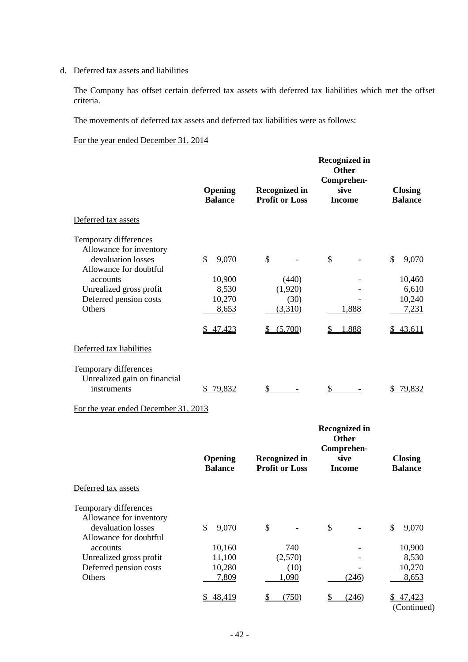d. Deferred tax assets and liabilities

The Company has offset certain deferred tax assets with deferred tax liabilities which met the offset criteria.

The movements of deferred tax assets and deferred tax liabilities were as follows:

For the year ended December 31, 2014

|                                                                                                                                                                             | Opening<br><b>Balance</b>                                     | <b>Recognized in</b><br><b>Profit or Loss</b>        | <b>Recognized in</b><br><b>Other</b><br>Comprehen-<br>sive<br><b>Income</b> | <b>Closing</b><br><b>Balance</b>                                  |
|-----------------------------------------------------------------------------------------------------------------------------------------------------------------------------|---------------------------------------------------------------|------------------------------------------------------|-----------------------------------------------------------------------------|-------------------------------------------------------------------|
| Deferred tax assets                                                                                                                                                         |                                                               |                                                      |                                                                             |                                                                   |
| Temporary differences<br>Allowance for inventory<br>devaluation losses<br>Allowance for doubtful<br>accounts<br>Unrealized gross profit<br>Deferred pension costs<br>Others | \$<br>9,070<br>10,900<br>8,530<br>10,270<br>8,653<br>\$47,423 | \$<br>(440)<br>(1,920)<br>(30)<br>(3,310)<br>(5,700) | \$<br>1,888<br>1,888<br>S                                                   | \$<br>9,070<br>10,460<br>6,610<br>10,240<br>7,231<br>43,611<br>\$ |
| Deferred tax liabilities                                                                                                                                                    |                                                               |                                                      |                                                                             |                                                                   |
| Temporary differences<br>Unrealized gain on financial<br>instruments                                                                                                        | 79,832<br>S                                                   | \$                                                   |                                                                             | 79,832<br>S                                                       |

# For the year ended December 31, 2013

|                                                                        | Opening<br><b>Balance</b> | <b>Recognized in</b><br><b>Profit or Loss</b> | <b>Recognized in</b><br><b>Other</b><br>Comprehen-<br>sive<br><b>Income</b> | <b>Closing</b><br><b>Balance</b> |
|------------------------------------------------------------------------|---------------------------|-----------------------------------------------|-----------------------------------------------------------------------------|----------------------------------|
| Deferred tax assets                                                    |                           |                                               |                                                                             |                                  |
| Temporary differences<br>Allowance for inventory<br>devaluation losses | \$<br>9,070               | \$                                            | \$                                                                          | \$<br>9,070                      |
| Allowance for doubtful<br>accounts                                     | 10,160                    | 740                                           |                                                                             | 10,900                           |
| Unrealized gross profit                                                | 11,100                    | (2,570)                                       |                                                                             | 8,530                            |
| Deferred pension costs                                                 | 10,280                    | (10)                                          |                                                                             | 10,270                           |
| Others                                                                 | 7,809                     | 1,090                                         | (246)                                                                       | 8,653                            |
|                                                                        | 48,419<br>S               | (750)                                         | (246)                                                                       | 47,423<br>(Continued)            |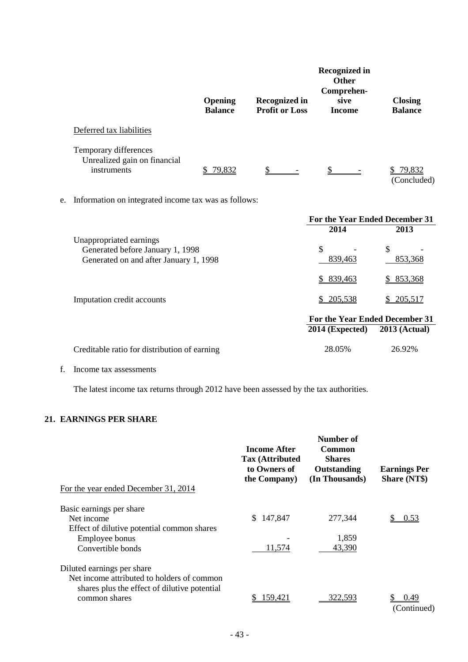|    |                                                                                                       | <b>Opening</b><br><b>Balance</b> | <b>Recognized in</b><br><b>Profit or Loss</b> | <b>Recognized in</b><br><b>Other</b><br>Comprehen-<br>sive<br><b>Income</b> | <b>Closing</b><br><b>Balance</b> |
|----|-------------------------------------------------------------------------------------------------------|----------------------------------|-----------------------------------------------|-----------------------------------------------------------------------------|----------------------------------|
|    | Deferred tax liabilities                                                                              |                                  |                                               |                                                                             |                                  |
|    | Temporary differences<br>Unrealized gain on financial<br>instruments                                  | \$79,832                         | $\mathbb{S}$                                  |                                                                             | \$79,832<br>(Concluded)          |
| e. | Information on integrated income tax was as follows:                                                  |                                  |                                               |                                                                             |                                  |
|    |                                                                                                       |                                  |                                               | For the Year Ended December 31                                              |                                  |
|    | Unappropriated earnings<br>Generated before January 1, 1998<br>Generated on and after January 1, 1998 |                                  |                                               | 2014<br>\$<br>839,463<br>\$839,463                                          | 2013<br>\$<br>853,368<br>853,368 |
|    | Imputation credit accounts                                                                            |                                  |                                               | 205,538                                                                     | 205,517                          |
|    |                                                                                                       |                                  |                                               | For the Year Ended December 31<br>$2014$ (Expected)                         | $2013$ (Actual)                  |
|    | Creditable ratio for distribution of earning                                                          |                                  |                                               | 28.05%                                                                      | 26.92%                           |

f. Income tax assessments

The latest income tax returns through 2012 have been assessed by the tax authorities.

# **21. EARNINGS PER SHARE**

| For the year ended December 31, 2014                                                                                     | Income After<br><b>Tax (Attributed)</b><br>to Owners of<br>the Company) | Number of<br>Common<br><b>Shares</b><br>Outstanding<br>(In Thousands) | <b>Earnings Per</b><br><b>Share (NT\$)</b> |
|--------------------------------------------------------------------------------------------------------------------------|-------------------------------------------------------------------------|-----------------------------------------------------------------------|--------------------------------------------|
| Basic earnings per share                                                                                                 |                                                                         |                                                                       |                                            |
| Net income                                                                                                               | 147,847<br>S.                                                           | 277,344                                                               | 0.53                                       |
| Effect of dilutive potential common shares                                                                               |                                                                         |                                                                       |                                            |
| Employee bonus                                                                                                           |                                                                         | 1,859                                                                 |                                            |
| Convertible bonds                                                                                                        | 11,574                                                                  | 43,390                                                                |                                            |
| Diluted earnings per share<br>Net income attributed to holders of common<br>shares plus the effect of dilutive potential |                                                                         |                                                                       |                                            |
| common shares                                                                                                            | 159,421                                                                 | 322.593                                                               | 0.49<br>(Continued)                        |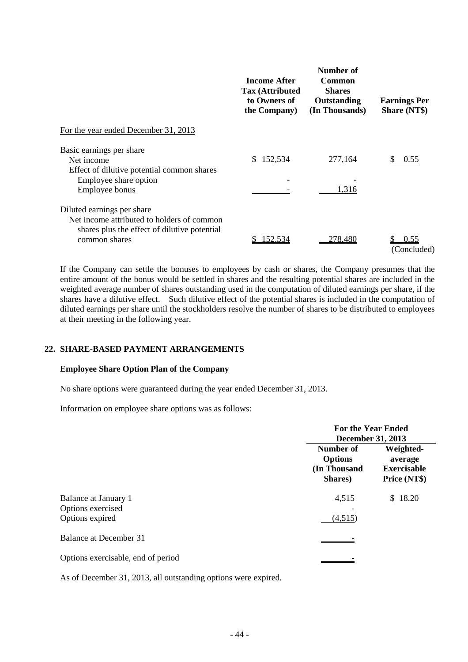|               | Outstanding<br>(In Thousands) | <b>Earnings Per</b><br><b>Share (NT\$)</b> |
|---------------|-------------------------------|--------------------------------------------|
|               |                               |                                            |
| 152,534<br>S. | 277,164                       | 0.55                                       |
|               | 1,316                         |                                            |
| 152,534       | 278.480                       | 0.55                                       |
|               | the Company)                  |                                            |

If the Company can settle the bonuses to employees by cash or shares, the Company presumes that the entire amount of the bonus would be settled in shares and the resulting potential shares are included in the weighted average number of shares outstanding used in the computation of diluted earnings per share, if the shares have a dilutive effect. Such dilutive effect of the potential shares is included in the computation of diluted earnings per share until the stockholders resolve the number of shares to be distributed to employees at their meeting in the following year.

# **22. SHARE-BASED PAYMENT ARRANGEMENTS**

# **Employee Share Option Plan of the Company**

No share options were guaranteed during the year ended December 31, 2013.

Information on employee share options was as follows:

|                                                              | <b>For the Year Ended</b><br><b>December 31, 2013</b>  |                                                            |
|--------------------------------------------------------------|--------------------------------------------------------|------------------------------------------------------------|
|                                                              | Number of<br><b>Options</b><br>(In Thousand<br>Shares) | Weighted-<br>average<br><b>Exercisable</b><br>Price (NT\$) |
| Balance at January 1<br>Options exercised<br>Options expired | 4,515<br>(4,515)                                       | 18.20<br>S.                                                |
| <b>Balance at December 31</b>                                |                                                        |                                                            |
| Options exercisable, end of period                           |                                                        |                                                            |

As of December 31, 2013, all outstanding options were expired.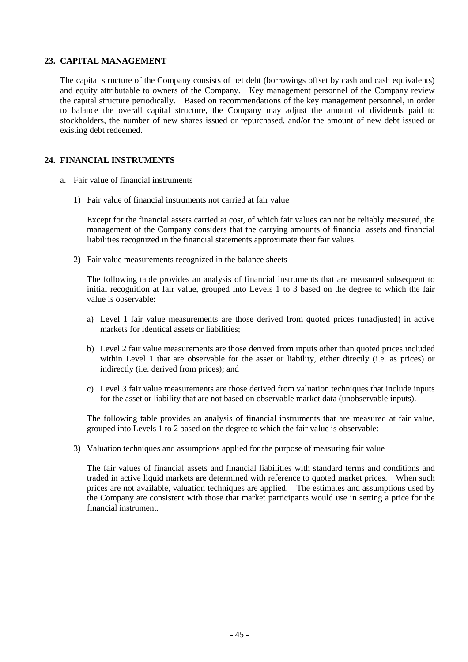# **23. CAPITAL MANAGEMENT**

The capital structure of the Company consists of net debt (borrowings offset by cash and cash equivalents) and equity attributable to owners of the Company. Key management personnel of the Company review the capital structure periodically. Based on recommendations of the key management personnel, in order to balance the overall capital structure, the Company may adjust the amount of dividends paid to stockholders, the number of new shares issued or repurchased, and/or the amount of new debt issued or existing debt redeemed.

# **24. FINANCIAL INSTRUMENTS**

- a. Fair value of financial instruments
	- 1) Fair value of financial instruments not carried at fair value

Except for the financial assets carried at cost, of which fair values can not be reliably measured, the management of the Company considers that the carrying amounts of financial assets and financial liabilities recognized in the financial statements approximate their fair values.

2) Fair value measurements recognized in the balance sheets

The following table provides an analysis of financial instruments that are measured subsequent to initial recognition at fair value, grouped into Levels 1 to 3 based on the degree to which the fair value is observable:

- a) Level 1 fair value measurements are those derived from quoted prices (unadjusted) in active markets for identical assets or liabilities;
- b) Level 2 fair value measurements are those derived from inputs other than quoted prices included within Level 1 that are observable for the asset or liability, either directly (i.e. as prices) or indirectly (i.e. derived from prices); and
- c) Level 3 fair value measurements are those derived from valuation techniques that include inputs for the asset or liability that are not based on observable market data (unobservable inputs).

The following table provides an analysis of financial instruments that are measured at fair value, grouped into Levels 1 to 2 based on the degree to which the fair value is observable:

3) Valuation techniques and assumptions applied for the purpose of measuring fair value

The fair values of financial assets and financial liabilities with standard terms and conditions and traded in active liquid markets are determined with reference to quoted market prices. When such prices are not available, valuation techniques are applied. The estimates and assumptions used by the Company are consistent with those that market participants would use in setting a price for the financial instrument.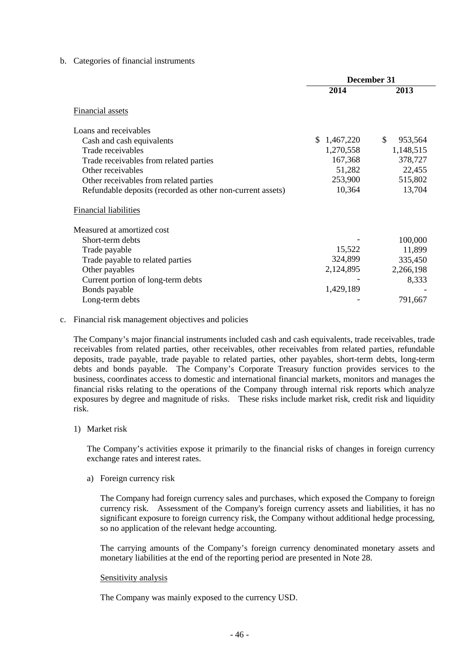## b. Categories of financial instruments

|                                                            | December 31 |               |
|------------------------------------------------------------|-------------|---------------|
|                                                            | 2014        | 2013          |
| Financial assets                                           |             |               |
| Loans and receivables                                      |             |               |
| Cash and cash equivalents                                  | \$1,467,220 | \$<br>953,564 |
| Trade receivables                                          | 1,270,558   | 1,148,515     |
| Trade receivables from related parties                     | 167,368     | 378,727       |
| Other receivables                                          | 51,282      | 22,455        |
| Other receivables from related parties                     | 253,900     | 515,802       |
| Refundable deposits (recorded as other non-current assets) | 10,364      | 13,704        |
| <b>Financial liabilities</b>                               |             |               |
| Measured at amortized cost                                 |             |               |
| Short-term debts                                           |             | 100,000       |
| Trade payable                                              | 15,522      | 11,899        |
| Trade payable to related parties                           | 324,899     | 335,450       |
| Other payables                                             | 2,124,895   | 2,266,198     |
| Current portion of long-term debts                         |             | 8,333         |
| Bonds payable                                              | 1,429,189   |               |
| Long-term debts                                            |             | 791,667       |

## c. Financial risk management objectives and policies

The Company's major financial instruments included cash and cash equivalents, trade receivables, trade receivables from related parties, other receivables, other receivables from related parties, refundable deposits, trade payable, trade payable to related parties, other payables, short-term debts, long-term debts and bonds payable. The Company's Corporate Treasury function provides services to the business, coordinates access to domestic and international financial markets, monitors and manages the financial risks relating to the operations of the Company through internal risk reports which analyze exposures by degree and magnitude of risks. These risks include market risk, credit risk and liquidity risk.

1) Market risk

The Company's activities expose it primarily to the financial risks of changes in foreign currency exchange rates and interest rates.

a) Foreign currency risk

The Company had foreign currency sales and purchases, which exposed the Company to foreign currency risk. Assessment of the Company's foreign currency assets and liabilities, it has no significant exposure to foreign currency risk, the Company without additional hedge processing, so no application of the relevant hedge accounting.

The carrying amounts of the Company's foreign currency denominated monetary assets and monetary liabilities at the end of the reporting period are presented in Note 28.

#### Sensitivity analysis

The Company was mainly exposed to the currency USD.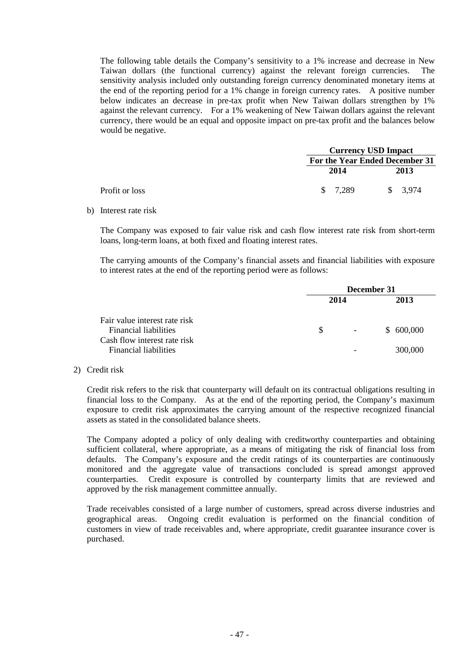The following table details the Company's sensitivity to a 1% increase and decrease in New Taiwan dollars (the functional currency) against the relevant foreign currencies. The sensitivity analysis included only outstanding foreign currency denominated monetary items at the end of the reporting period for a 1% change in foreign currency rates. A positive number below indicates an decrease in pre-tax profit when New Taiwan dollars strengthen by 1% against the relevant currency. For a 1% weakening of New Taiwan dollars against the relevant currency, there would be an equal and opposite impact on pre-tax profit and the balances below would be negative.

|                |  | <b>Currency USD Impact</b><br>For the Year Ended December 31 |  |                     |
|----------------|--|--------------------------------------------------------------|--|---------------------|
|                |  |                                                              |  |                     |
|                |  | 2014                                                         |  | 2013                |
| Profit or loss |  | \$ 7.289                                                     |  | $\frac{1}{2}$ 3.974 |

b) Interest rate risk

The Company was exposed to fair value risk and cash flow interest rate risk from short-term loans, long-term loans, at both fixed and floating interest rates.

The carrying amounts of the Company's financial assets and financial liabilities with exposure to interest rates at the end of the reporting period were as follows:

|                                                                                                                               | December 31 |                          |                      |
|-------------------------------------------------------------------------------------------------------------------------------|-------------|--------------------------|----------------------|
|                                                                                                                               | 2014        |                          | 2013                 |
| Fair value interest rate risk<br><b>Financial liabilities</b><br>Cash flow interest rate risk<br><b>Financial liabilities</b> | S.          | $\overline{\phantom{a}}$ | \$600,000<br>300,000 |

#### 2) Credit risk

Credit risk refers to the risk that counterparty will default on its contractual obligations resulting in financial loss to the Company. As at the end of the reporting period, the Company's maximum exposure to credit risk approximates the carrying amount of the respective recognized financial assets as stated in the consolidated balance sheets.

The Company adopted a policy of only dealing with creditworthy counterparties and obtaining sufficient collateral, where appropriate, as a means of mitigating the risk of financial loss from defaults. The Company's exposure and the credit ratings of its counterparties are continuously monitored and the aggregate value of transactions concluded is spread amongst approved counterparties. Credit exposure is controlled by counterparty limits that are reviewed and approved by the risk management committee annually.

Trade receivables consisted of a large number of customers, spread across diverse industries and geographical areas. Ongoing credit evaluation is performed on the financial condition of customers in view of trade receivables and, where appropriate, credit guarantee insurance cover is purchased.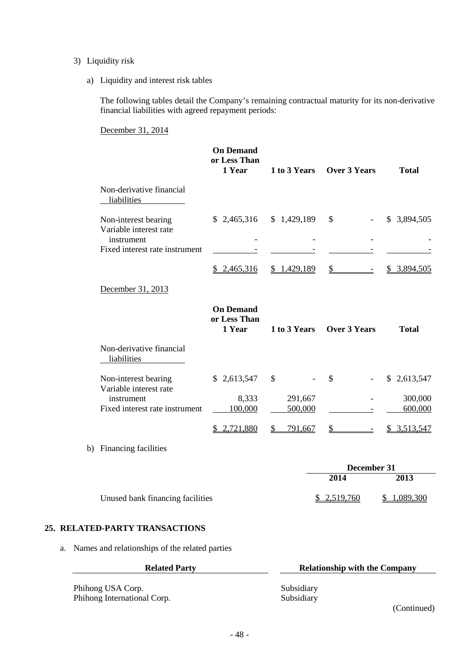# 3) Liquidity risk

a) Liquidity and interest risk tables

The following tables detail the Company's remaining contractual maturity for its non-derivative financial liabilities with agreed repayment periods:

December 31, 2014

|                                                | <b>On Demand</b><br>or Less Than<br>1 Year | 1 to 3 Years             | <b>Over 3 Years</b>            | <b>Total</b>       |
|------------------------------------------------|--------------------------------------------|--------------------------|--------------------------------|--------------------|
| Non-derivative financial<br>liabilities        |                                            |                          |                                |                    |
| Non-interest bearing<br>Variable interest rate | \$2,465,316                                | \$1,429,189              | \$                             | \$ 3,894,505       |
| instrument<br>Fixed interest rate instrument   |                                            |                          |                                |                    |
|                                                | \$2,465,316                                | \$1,429,189              | $\frac{1}{2}$                  | 3,894,505<br>\$    |
| December 31, 2013                              |                                            |                          |                                |                    |
|                                                | <b>On Demand</b><br>or Less Than<br>1 Year | 1 to 3 Years             | <b>Over 3 Years</b>            | <b>Total</b>       |
| Non-derivative financial<br>liabilities        |                                            |                          |                                |                    |
| Non-interest bearing<br>Variable interest rate | \$2,613,547                                | \$                       | \$<br>$\overline{\phantom{a}}$ | \$2,613,547        |
| instrument<br>Fixed interest rate instrument   | 8,333<br>100,000                           | 291,667<br>500,000       |                                | 300,000<br>600,000 |
|                                                | \$2,721,880                                | $\mathcal{L}$<br>791,667 | \$                             | \$3,513,547        |
| b) Financing facilities                        |                                            |                          |                                |                    |
|                                                |                                            |                          | December 31                    |                    |
|                                                |                                            |                          | 2014                           | 2013               |

# Unused bank financing facilities  $\frac{$2,519,760}{$1,089,300}$

# **25. RELATED-PARTY TRANSACTIONS**

a. Names and relationships of the related parties

| <b>Related Party</b>        | <b>Relationship with the Company</b> |  |  |
|-----------------------------|--------------------------------------|--|--|
| Phihong USA Corp.           | Subsidiary                           |  |  |
| Phihong International Corp. | Subsidiary                           |  |  |
|                             | (Continued)                          |  |  |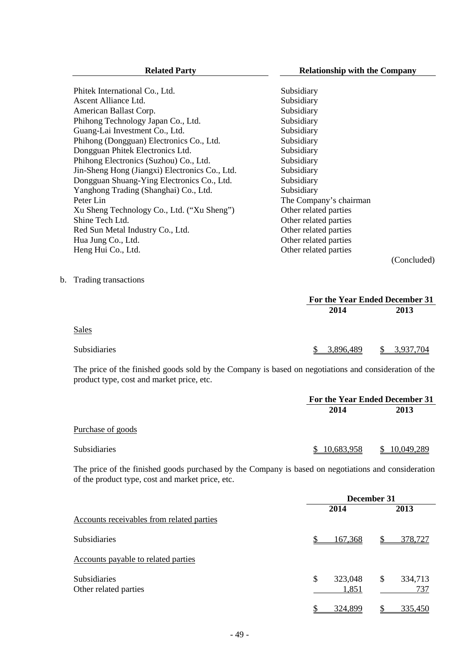(Concluded)

Phitek International Co., Ltd. Subsidiary Ascent Alliance Ltd. Subsidiary American Ballast Corp. Subsidiary Phihong Technology Japan Co., Ltd. Subsidiary Guang-Lai Investment Co., Ltd. Subsidiary Phihong (Dongguan) Electronics Co., Ltd. Subsidiary Dongguan Phitek Electronics Ltd. Subsidiary Phihong Electronics (Suzhou) Co., Ltd. Subsidiary Jin-Sheng Hong (Jiangxi) Electronics Co., Ltd. Subsidiary Dongguan Shuang-Ying Electronics Co., Ltd. Subsidiary Yanghong Trading (Shanghai) Co., Ltd. Subsidiary Peter Lin The Company's chairman Xu Sheng Technology Co., Ltd. ("Xu Sheng") Other related parties<br>Shine Tech Ltd. Other related parties Other related parties Red Sun Metal Industry Co., Ltd. 0ther related parties Hua Jung Co., Ltd. **Other related parties** Heng Hui Co., Ltd. **Other related parties** 

b. Trading transactions

|                                                                                                       |           | For the Year Ended December 31 |  |  |
|-------------------------------------------------------------------------------------------------------|-----------|--------------------------------|--|--|
|                                                                                                       | 2014      | 2013                           |  |  |
| Sales                                                                                                 |           |                                |  |  |
| <b>Subsidiaries</b>                                                                                   | 3.896.489 | \$ 3,937,704                   |  |  |
| The price of the finished goods sold by the Company is based on negotiations and consideration of the |           |                                |  |  |

product type, cost and market price, etc.

|                     | For the Year Ended December 31 |            |  |
|---------------------|--------------------------------|------------|--|
|                     | 2014                           | 2013       |  |
| Purchase of goods   |                                |            |  |
| <b>Subsidiaries</b> | 10,683,958<br>$\mathcal{S}$    | 10,049,289 |  |

The price of the finished goods purchased by the Company is based on negotiations and consideration of the product type, cost and market price, etc.

|                                              | December 31            |                      |  |
|----------------------------------------------|------------------------|----------------------|--|
|                                              | 2014                   | 2013                 |  |
| Accounts receivables from related parties    |                        |                      |  |
| <b>Subsidiaries</b>                          | 167,368                | 378,727<br>S         |  |
| Accounts payable to related parties          |                        |                      |  |
| <b>Subsidiaries</b><br>Other related parties | \$<br>323,048<br>1,851 | \$<br>334,713<br>737 |  |
|                                              | 324,899                | 335,450              |  |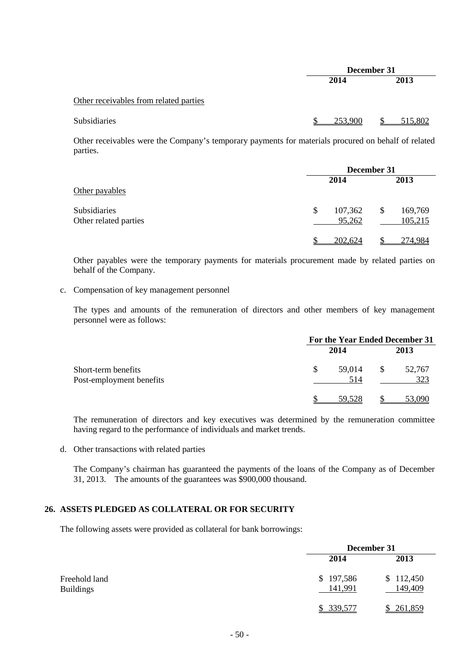|                                        | December 31 |         |  |
|----------------------------------------|-------------|---------|--|
|                                        | 2014        |         |  |
| Other receivables from related parties |             |         |  |
| Subsidiaries                           | 253,900     | 515,802 |  |

Other receivables were the Company's temporary payments for materials procured on behalf of related parties.

|                                       |                         | December 31 |                    |  |
|---------------------------------------|-------------------------|-------------|--------------------|--|
| Other payables                        | 2014                    |             | 2013               |  |
| Subsidiaries<br>Other related parties | 107,362<br>\$<br>95,262 | \$          | 169,769<br>105,215 |  |
|                                       | 202,624                 |             | 274.984            |  |

Other payables were the temporary payments for materials procurement made by related parties on behalf of the Company.

# c. Compensation of key management personnel

The types and amounts of the remuneration of directors and other members of key management personnel were as follows:

|                                                 |     | For the Year Ended December 31 |    |               |
|-------------------------------------------------|-----|--------------------------------|----|---------------|
|                                                 |     | 2014                           |    | 2013          |
| Short-term benefits<br>Post-employment benefits | \$. | 59,014<br>514                  | S. | 52,767<br>323 |
|                                                 |     | 59.528                         |    | 53,090        |

The remuneration of directors and key executives was determined by the remuneration committee having regard to the performance of individuals and market trends.

d. Other transactions with related parties

The Company's chairman has guaranteed the payments of the loans of the Company as of December 31, 2013. The amounts of the guarantees was \$900,000 thousand.

# **26. ASSETS PLEDGED AS COLLATERAL OR FOR SECURITY**

The following assets were provided as collateral for bank borrowings:

|                                   | December 31          |                      |  |
|-----------------------------------|----------------------|----------------------|--|
|                                   | 2014                 | 2013                 |  |
| Freehold land<br><b>Buildings</b> | \$197,586<br>141,991 | \$112,450<br>149,409 |  |
|                                   | \$339,577            | 261,859              |  |